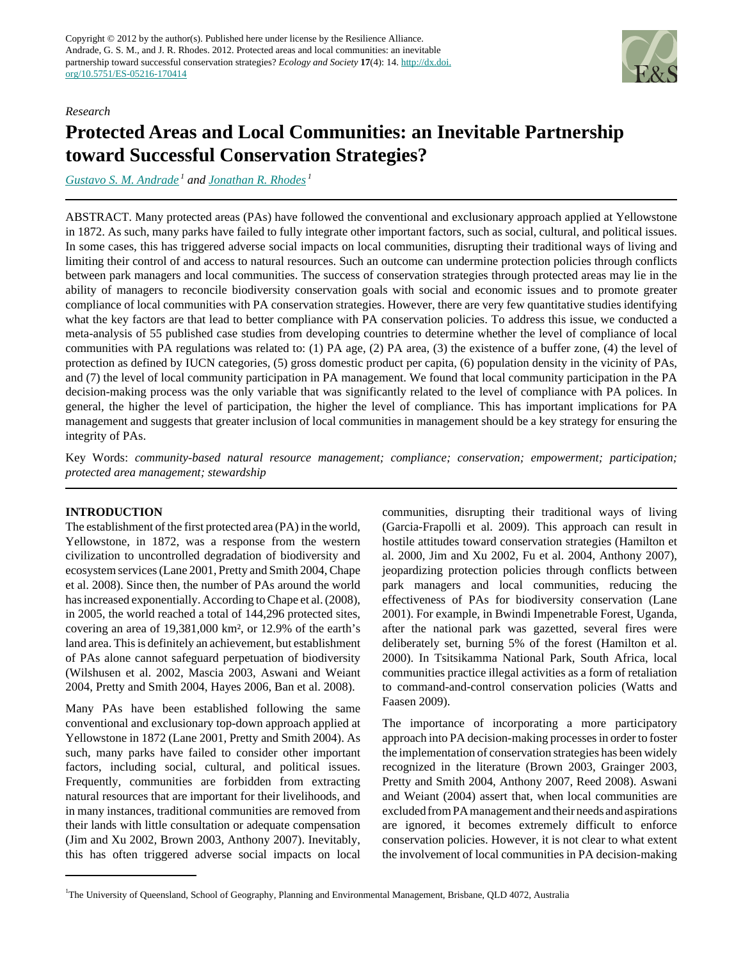

#### *Research*

# **Protected Areas and Local Communities: an Inevitable Partnership toward Successful Conservation Strategies?**

*[Gustavo S. M. Andrade](mailto:gsalgado.andrade@gmail.com)<sup>1</sup> and [Jonathan R. Rhodes](mailto:j.rhodes@uq.edu.au)<sup>1</sup>*

ABSTRACT. Many protected areas (PAs) have followed the conventional and exclusionary approach applied at Yellowstone in 1872. As such, many parks have failed to fully integrate other important factors, such as social, cultural, and political issues. In some cases, this has triggered adverse social impacts on local communities, disrupting their traditional ways of living and limiting their control of and access to natural resources. Such an outcome can undermine protection policies through conflicts between park managers and local communities. The success of conservation strategies through protected areas may lie in the ability of managers to reconcile biodiversity conservation goals with social and economic issues and to promote greater compliance of local communities with PA conservation strategies. However, there are very few quantitative studies identifying what the key factors are that lead to better compliance with PA conservation policies. To address this issue, we conducted a meta-analysis of 55 published case studies from developing countries to determine whether the level of compliance of local communities with PA regulations was related to: (1) PA age, (2) PA area, (3) the existence of a buffer zone, (4) the level of protection as defined by IUCN categories, (5) gross domestic product per capita, (6) population density in the vicinity of PAs, and (7) the level of local community participation in PA management. We found that local community participation in the PA decision-making process was the only variable that was significantly related to the level of compliance with PA polices. In general, the higher the level of participation, the higher the level of compliance. This has important implications for PA management and suggests that greater inclusion of local communities in management should be a key strategy for ensuring the integrity of PAs.

Key Words: *community-based natural resource management; compliance; conservation; empowerment; participation; protected area management; stewardship*

# **INTRODUCTION**

The establishment of the first protected area (PA) in the world, Yellowstone, in 1872, was a response from the western civilization to uncontrolled degradation of biodiversity and ecosystem services (Lane 2001, Pretty and Smith 2004, Chape et al. 2008). Since then, the number of PAs around the world has increased exponentially. According to Chape et al. (2008), in 2005, the world reached a total of 144,296 protected sites, covering an area of 19,381,000 km², or 12.9% of the earth's land area. This is definitely an achievement, but establishment of PAs alone cannot safeguard perpetuation of biodiversity (Wilshusen et al. 2002, Mascia 2003, Aswani and Weiant 2004, Pretty and Smith 2004, Hayes 2006, Ban et al. 2008).

Many PAs have been established following the same conventional and exclusionary top-down approach applied at Yellowstone in 1872 (Lane 2001, Pretty and Smith 2004). As such, many parks have failed to consider other important factors, including social, cultural, and political issues. Frequently, communities are forbidden from extracting natural resources that are important for their livelihoods, and in many instances, traditional communities are removed from their lands with little consultation or adequate compensation (Jim and Xu 2002, Brown 2003, Anthony 2007). Inevitably, this has often triggered adverse social impacts on local communities, disrupting their traditional ways of living (Garcia-Frapolli et al. 2009). This approach can result in hostile attitudes toward conservation strategies (Hamilton et al. 2000, Jim and Xu 2002, Fu et al. 2004, Anthony 2007), jeopardizing protection policies through conflicts between park managers and local communities, reducing the effectiveness of PAs for biodiversity conservation (Lane 2001). For example, in Bwindi Impenetrable Forest, Uganda, after the national park was gazetted, several fires were deliberately set, burning 5% of the forest (Hamilton et al. 2000). In Tsitsikamma National Park, South Africa, local communities practice illegal activities as a form of retaliation to command-and-control conservation policies (Watts and Faasen 2009).

The importance of incorporating a more participatory approach into PA decision-making processes in order to foster the implementation of conservation strategies has been widely recognized in the literature (Brown 2003, Grainger 2003, Pretty and Smith 2004, Anthony 2007, Reed 2008). Aswani and Weiant (2004) assert that, when local communities are excluded from PA management and their needs and aspirations are ignored, it becomes extremely difficult to enforce conservation policies. However, it is not clear to what extent the involvement of local communities in PA decision-making

<sup>&</sup>lt;sup>1</sup>The University of Queensland, School of Geography, Planning and Environmental Management, Brisbane, QLD 4072, Australia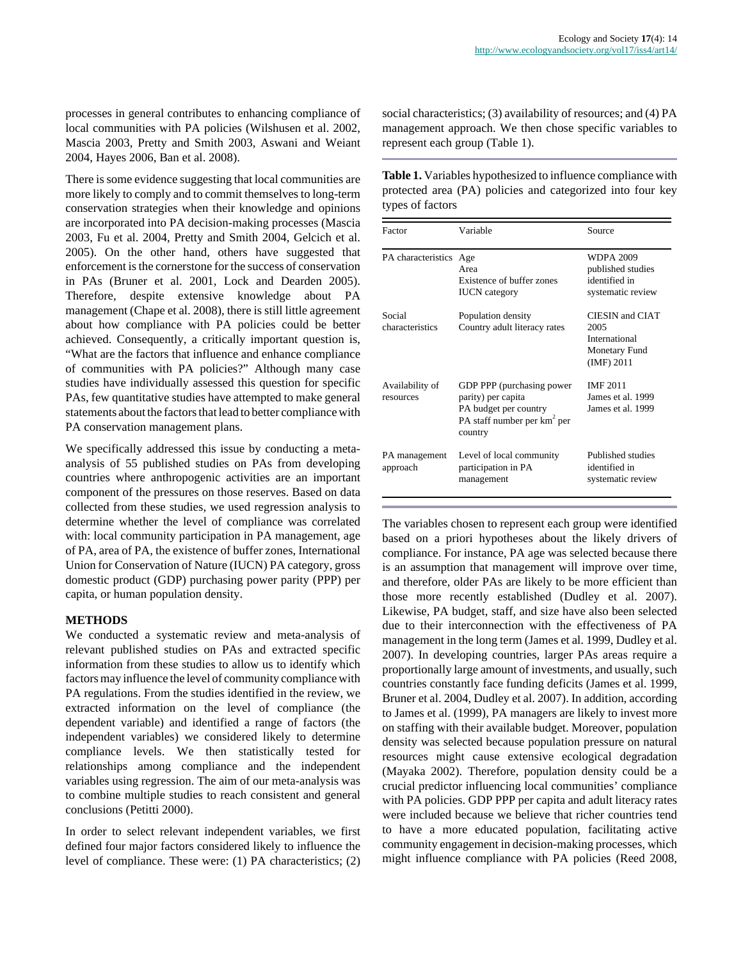processes in general contributes to enhancing compliance of local communities with PA policies (Wilshusen et al. 2002, Mascia 2003, Pretty and Smith 2003, Aswani and Weiant 2004, Hayes 2006, Ban et al. 2008).

There is some evidence suggesting that local communities are more likely to comply and to commit themselves to long-term conservation strategies when their knowledge and opinions are incorporated into PA decision-making processes (Mascia 2003, Fu et al. 2004, Pretty and Smith 2004, Gelcich et al. 2005). On the other hand, others have suggested that enforcement is the cornerstone for the success of conservation in PAs (Bruner et al. 2001, Lock and Dearden 2005). Therefore, despite extensive knowledge about PA management (Chape et al. 2008), there is still little agreement about how compliance with PA policies could be better achieved. Consequently, a critically important question is, "What are the factors that influence and enhance compliance of communities with PA policies?" Although many case studies have individually assessed this question for specific PAs, few quantitative studies have attempted to make general statements about the factors that lead to better compliance with PA conservation management plans.

We specifically addressed this issue by conducting a metaanalysis of 55 published studies on PAs from developing countries where anthropogenic activities are an important component of the pressures on those reserves. Based on data collected from these studies, we used regression analysis to determine whether the level of compliance was correlated with: local community participation in PA management, age of PA, area of PA, the existence of buffer zones, International Union for Conservation of Nature (IUCN) PA category, gross domestic product (GDP) purchasing power parity (PPP) per capita, or human population density.

#### **METHODS**

We conducted a systematic review and meta-analysis of relevant published studies on PAs and extracted specific information from these studies to allow us to identify which factors may influence the level of community compliance with PA regulations. From the studies identified in the review, we extracted information on the level of compliance (the dependent variable) and identified a range of factors (the independent variables) we considered likely to determine compliance levels. We then statistically tested for relationships among compliance and the independent variables using regression. The aim of our meta-analysis was to combine multiple studies to reach consistent and general conclusions (Petitti 2000).

In order to select relevant independent variables, we first defined four major factors considered likely to influence the level of compliance. These were: (1) PA characteristics; (2) social characteristics; (3) availability of resources; and (4) PA management approach. We then chose specific variables to represent each group (Table 1).

**Table 1.** Variables hypothesized to influence compliance with protected area (PA) policies and categorized into four key types of factors

| Factor                       | Variable                                                                                                                       | Source                                                                  |
|------------------------------|--------------------------------------------------------------------------------------------------------------------------------|-------------------------------------------------------------------------|
| PA characteristics           | Age<br>Area<br>Existence of buffer zones<br><b>IUCN</b> category                                                               | WDPA 2009<br>published studies<br>identified in<br>systematic review    |
| Social<br>characteristics    | Population density<br>Country adult literacy rates                                                                             | CIESIN and CIAT<br>2005<br>International<br>Monetary Fund<br>(IMF) 2011 |
| Availability of<br>resources | GDP PPP (purchasing power<br>parity) per capita<br>PA budget per country<br>PA staff number per km <sup>2</sup> per<br>country | <b>IMF 2011</b><br>James et al. 1999<br>James et al. 1999               |
| PA management<br>approach    | Level of local community<br>participation in PA<br>management                                                                  | Published studies<br>identified in<br>systematic review                 |

The variables chosen to represent each group were identified based on a priori hypotheses about the likely drivers of compliance. For instance, PA age was selected because there is an assumption that management will improve over time, and therefore, older PAs are likely to be more efficient than those more recently established (Dudley et al. 2007). Likewise, PA budget, staff, and size have also been selected due to their interconnection with the effectiveness of PA management in the long term (James et al. 1999, Dudley et al. 2007). In developing countries, larger PAs areas require a proportionally large amount of investments, and usually, such countries constantly face funding deficits (James et al. 1999, Bruner et al. 2004, Dudley et al. 2007). In addition, according to James et al. (1999), PA managers are likely to invest more on staffing with their available budget. Moreover, population density was selected because population pressure on natural resources might cause extensive ecological degradation (Mayaka 2002). Therefore, population density could be a crucial predictor influencing local communities' compliance with PA policies. GDP PPP per capita and adult literacy rates were included because we believe that richer countries tend to have a more educated population, facilitating active community engagement in decision-making processes, which might influence compliance with PA policies (Reed 2008,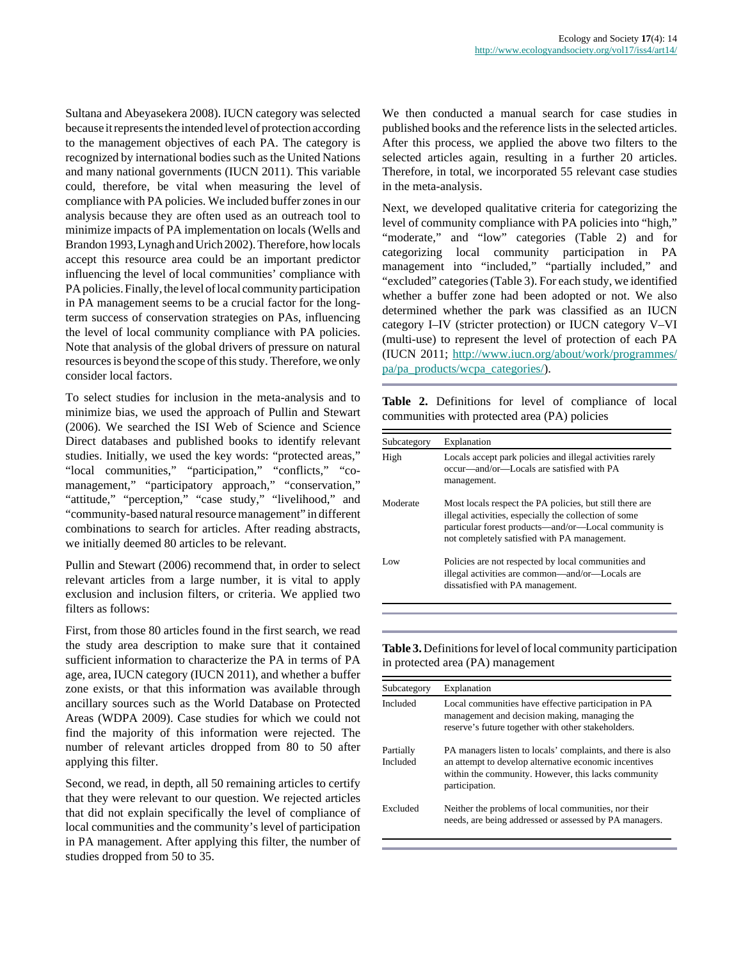Sultana and Abeyasekera 2008). IUCN category was selected because it represents the intended level of protection according to the management objectives of each PA. The category is recognized by international bodies such as the United Nations and many national governments (IUCN 2011). This variable could, therefore, be vital when measuring the level of compliance with PA policies. We included buffer zones in our analysis because they are often used as an outreach tool to minimize impacts of PA implementation on locals (Wells and Brandon 1993, Lynagh and Urich 2002). Therefore, how locals accept this resource area could be an important predictor influencing the level of local communities' compliance with PA policies. Finally, the level of local community participation in PA management seems to be a crucial factor for the longterm success of conservation strategies on PAs, influencing the level of local community compliance with PA policies. Note that analysis of the global drivers of pressure on natural resources is beyond the scope of this study. Therefore, we only consider local factors.

To select studies for inclusion in the meta-analysis and to minimize bias, we used the approach of Pullin and Stewart (2006). We searched the ISI Web of Science and Science Direct databases and published books to identify relevant studies. Initially, we used the key words: "protected areas," "local communities," "participation," "conflicts," "comanagement," "participatory approach," "conservation," "attitude," "perception," "case study," "livelihood," and "community-based natural resource management" in different combinations to search for articles. After reading abstracts, we initially deemed 80 articles to be relevant.

Pullin and Stewart (2006) recommend that, in order to select relevant articles from a large number, it is vital to apply exclusion and inclusion filters, or criteria. We applied two filters as follows:

First, from those 80 articles found in the first search, we read the study area description to make sure that it contained sufficient information to characterize the PA in terms of PA age, area, IUCN category (IUCN 2011), and whether a buffer zone exists, or that this information was available through ancillary sources such as the World Database on Protected Areas (WDPA 2009). Case studies for which we could not find the majority of this information were rejected. The number of relevant articles dropped from 80 to 50 after applying this filter.

Second, we read, in depth, all 50 remaining articles to certify that they were relevant to our question. We rejected articles that did not explain specifically the level of compliance of local communities and the community's level of participation in PA management. After applying this filter, the number of studies dropped from 50 to 35.

We then conducted a manual search for case studies in published books and the reference lists in the selected articles. After this process, we applied the above two filters to the selected articles again, resulting in a further 20 articles. Therefore, in total, we incorporated 55 relevant case studies in the meta-analysis.

Next, we developed qualitative criteria for categorizing the level of community compliance with PA policies into "high," "moderate," and "low" categories (Table 2) and for categorizing local community participation in PA management into "included," "partially included," and "excluded" categories (Table 3). For each study, we identified whether a buffer zone had been adopted or not. We also determined whether the park was classified as an IUCN category I–IV (stricter protection) or IUCN category V–VI (multi-use) to represent the level of protection of each PA (IUCN 2011; [http://www.iucn.org/about/work/programmes/](http://www.iucn.org/about/work/programmes/pa/pa_products/wcpa_categories/) [pa/pa\\_products/wcpa\\_categories/](http://www.iucn.org/about/work/programmes/pa/pa_products/wcpa_categories/)).

**Table 2.** Definitions for level of compliance of local communities with protected area (PA) policies

| Subcategory | Explanation                                                                                                                                                                                                               |
|-------------|---------------------------------------------------------------------------------------------------------------------------------------------------------------------------------------------------------------------------|
| High        | Locals accept park policies and illegal activities rarely<br>occur—and/or—Locals are satisfied with PA<br>management.                                                                                                     |
| Moderate    | Most locals respect the PA policies, but still there are<br>illegal activities, especially the collection of some<br>particular forest products—and/or—Local community is<br>not completely satisfied with PA management. |
| Low.        | Policies are not respected by local communities and<br>illegal activities are common—and/or—Locals are<br>dissatisfied with PA management.                                                                                |

**Table 3.** Definitions for level of local community participation in protected area (PA) management

| Subcategory           | Explanation                                                                                                                                                                                   |
|-----------------------|-----------------------------------------------------------------------------------------------------------------------------------------------------------------------------------------------|
| Included              | Local communities have effective participation in PA<br>management and decision making, managing the<br>reserve's future together with other stakeholders.                                    |
| Partially<br>Included | PA managers listen to locals' complaints, and there is also<br>an attempt to develop alternative economic incentives<br>within the community. However, this lacks community<br>participation. |
| Excluded              | Neither the problems of local communities, nor their<br>needs, are being addressed or assessed by PA managers.                                                                                |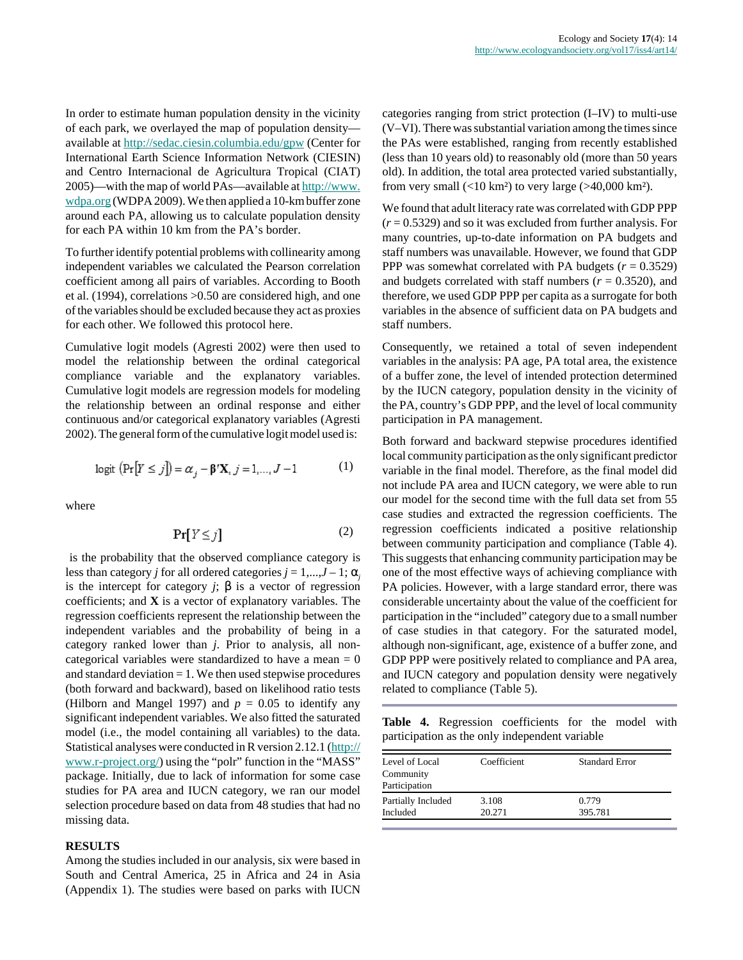In order to estimate human population density in the vicinity of each park, we overlayed the map of population density available at<http://sedac.ciesin.columbia.edu/gpw>(Center for International Earth Science Information Network (CIESIN) and Centro Internacional de Agricultura Tropical (CIAT) 2005)—with the map of world PAs—available at [http://www.](http://www.wdpa.org) [wdpa.org](http://www.wdpa.org) (WDPA 2009). We then applied a 10-km buffer zone around each PA, allowing us to calculate population density for each PA within 10 km from the PA's border.

To further identify potential problems with collinearity among independent variables we calculated the Pearson correlation coefficient among all pairs of variables. According to Booth et al. (1994), correlations >0.50 are considered high, and one of the variables should be excluded because they act as proxies for each other. We followed this protocol here.

Cumulative logit models (Agresti 2002) were then used to model the relationship between the ordinal categorical compliance variable and the explanatory variables. Cumulative logit models are regression models for modeling the relationship between an ordinal response and either continuous and/or categorical explanatory variables (Agresti 2002). The general form of the cumulative logit model used is:

$$
logit (Pr[Y \le j]) = \alpha_j - \beta' \mathbf{X}, j = 1, ..., J - 1
$$
 (1)

where

$$
\Pr[Y \le j] \tag{2}
$$

 is the probability that the observed compliance category is less than category *j* for all ordered categories  $j = 1, \ldots, J - 1$ ;  $\alpha$ *j* is the intercept for category  $j$ ;  $\beta$  is a vector of regression coefficients; and **X** is a vector of explanatory variables. The regression coefficients represent the relationship between the independent variables and the probability of being in a category ranked lower than *j*. Prior to analysis, all noncategorical variables were standardized to have a mean  $= 0$ and standard deviation  $= 1$ . We then used stepwise procedures (both forward and backward), based on likelihood ratio tests (Hilborn and Mangel 1997) and  $p = 0.05$  to identify any significant independent variables. We also fitted the saturated model (i.e., the model containing all variables) to the data. Statistical analyses were conducted in R version 2.12.1 [\(http://](http://www.r-project.org/) [www.r-project.org/](http://www.r-project.org/)) using the "polr" function in the "MASS" package. Initially, due to lack of information for some case studies for PA area and IUCN category, we ran our model selection procedure based on data from 48 studies that had no missing data.

#### **RESULTS**

Among the studies included in our analysis, six were based in South and Central America, 25 in Africa and 24 in Asia (Appendix 1). The studies were based on parks with IUCN categories ranging from strict protection (I–IV) to multi-use (V–VI). There was substantial variation among the times since the PAs were established, ranging from recently established (less than 10 years old) to reasonably old (more than 50 years old). In addition, the total area protected varied substantially, from very small  $(<10 \text{ km}^2)$  to very large ( $>40,000 \text{ km}^2$ ).

We found that adult literacy rate was correlated with GDP PPP (*r* = 0.5329) and so it was excluded from further analysis. For many countries, up-to-date information on PA budgets and staff numbers was unavailable. However, we found that GDP PPP was somewhat correlated with PA budgets  $(r = 0.3529)$ and budgets correlated with staff numbers  $(r = 0.3520)$ , and therefore, we used GDP PPP per capita as a surrogate for both variables in the absence of sufficient data on PA budgets and staff numbers.

Consequently, we retained a total of seven independent variables in the analysis: PA age, PA total area, the existence of a buffer zone, the level of intended protection determined by the IUCN category, population density in the vicinity of the PA, country's GDP PPP, and the level of local community participation in PA management.

Both forward and backward stepwise procedures identified local community participation as the only significant predictor variable in the final model. Therefore, as the final model did not include PA area and IUCN category, we were able to run our model for the second time with the full data set from 55 case studies and extracted the regression coefficients. The regression coefficients indicated a positive relationship between community participation and compliance (Table 4). This suggests that enhancing community participation may be one of the most effective ways of achieving compliance with PA policies. However, with a large standard error, there was considerable uncertainty about the value of the coefficient for participation in the "included" category due to a small number of case studies in that category. For the saturated model, although non-significant, age, existence of a buffer zone, and GDP PPP were positively related to compliance and PA area, and IUCN category and population density were negatively related to compliance (Table 5).

**Table 4.** Regression coefficients for the model with participation as the only independent variable

| Level of Local<br>Community<br>Participation | Coefficient | <b>Standard Error</b> |
|----------------------------------------------|-------------|-----------------------|
| Partially Included                           | 3.108       | 0.779                 |
| Included                                     | 20.271      | 395.781               |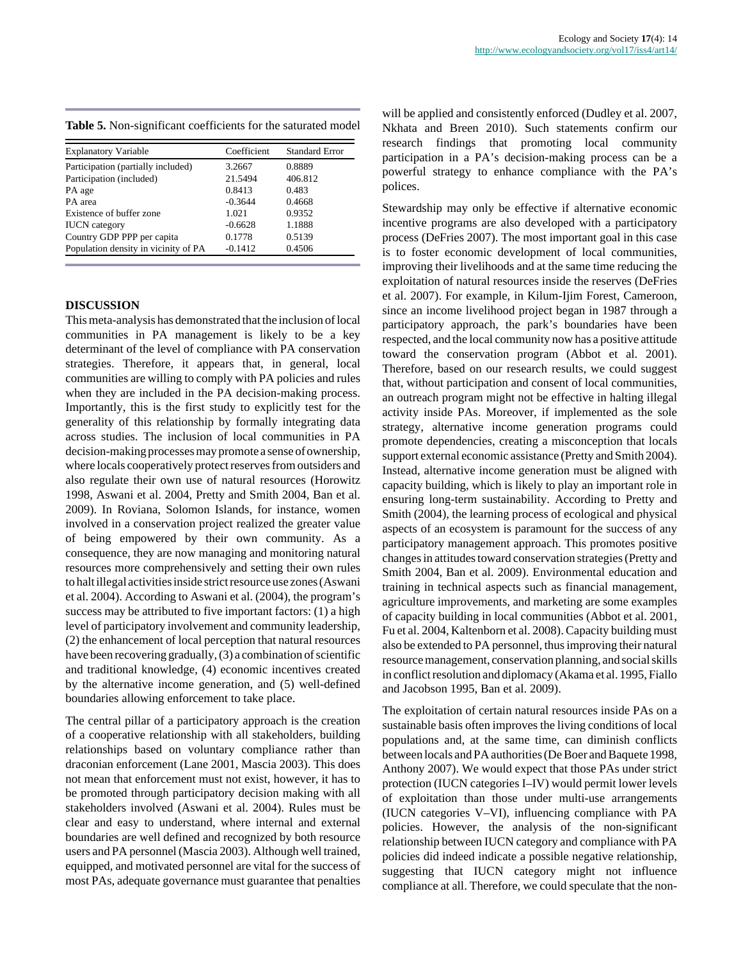|  | Table 5. Non-significant coefficients for the saturated model |  |
|--|---------------------------------------------------------------|--|
|--|---------------------------------------------------------------|--|

| <b>Explanatory Variable</b>          | Coefficient | <b>Standard Error</b> |
|--------------------------------------|-------------|-----------------------|
| Participation (partially included)   | 3.2667      | 0.8889                |
| Participation (included)             | 21.5494     | 406.812               |
| PA age                               | 0.8413      | 0.483                 |
| PA area                              | $-0.3644$   | 0.4668                |
| Existence of buffer zone             | 1.021       | 0.9352                |
| <b>IUCN</b> category                 | $-0.6628$   | 1.1888                |
| Country GDP PPP per capita           | 0.1778      | 0.5139                |
| Population density in vicinity of PA | $-0.1412$   | 0.4506                |

#### **DISCUSSION**

This meta-analysis has demonstrated that the inclusion of local communities in PA management is likely to be a key determinant of the level of compliance with PA conservation strategies. Therefore, it appears that, in general, local communities are willing to comply with PA policies and rules when they are included in the PA decision-making process. Importantly, this is the first study to explicitly test for the generality of this relationship by formally integrating data across studies. The inclusion of local communities in PA decision-making processes may promote a sense of ownership, where locals cooperatively protect reserves from outsiders and also regulate their own use of natural resources (Horowitz 1998, Aswani et al. 2004, Pretty and Smith 2004, Ban et al. 2009). In Roviana, Solomon Islands, for instance, women involved in a conservation project realized the greater value of being empowered by their own community. As a consequence, they are now managing and monitoring natural resources more comprehensively and setting their own rules to halt illegal activities inside strict resource use zones (Aswani et al. 2004). According to Aswani et al. (2004), the program's success may be attributed to five important factors: (1) a high level of participatory involvement and community leadership, (2) the enhancement of local perception that natural resources have been recovering gradually, (3) a combination of scientific and traditional knowledge, (4) economic incentives created by the alternative income generation, and (5) well-defined boundaries allowing enforcement to take place.

The central pillar of a participatory approach is the creation of a cooperative relationship with all stakeholders, building relationships based on voluntary compliance rather than draconian enforcement (Lane 2001, Mascia 2003). This does not mean that enforcement must not exist, however, it has to be promoted through participatory decision making with all stakeholders involved (Aswani et al. 2004). Rules must be clear and easy to understand, where internal and external boundaries are well defined and recognized by both resource users and PA personnel (Mascia 2003). Although well trained, equipped, and motivated personnel are vital for the success of most PAs, adequate governance must guarantee that penalties will be applied and consistently enforced (Dudley et al. 2007, Nkhata and Breen 2010). Such statements confirm our research findings that promoting local community participation in a PA's decision-making process can be a powerful strategy to enhance compliance with the PA's polices.

Stewardship may only be effective if alternative economic incentive programs are also developed with a participatory process (DeFries 2007). The most important goal in this case is to foster economic development of local communities, improving their livelihoods and at the same time reducing the exploitation of natural resources inside the reserves (DeFries et al. 2007). For example, in Kilum-Ijim Forest, Cameroon, since an income livelihood project began in 1987 through a participatory approach, the park's boundaries have been respected, and the local community now has a positive attitude toward the conservation program (Abbot et al. 2001). Therefore, based on our research results, we could suggest that, without participation and consent of local communities, an outreach program might not be effective in halting illegal activity inside PAs. Moreover, if implemented as the sole strategy, alternative income generation programs could promote dependencies, creating a misconception that locals support external economic assistance (Pretty and Smith 2004). Instead, alternative income generation must be aligned with capacity building, which is likely to play an important role in ensuring long-term sustainability. According to Pretty and Smith (2004), the learning process of ecological and physical aspects of an ecosystem is paramount for the success of any participatory management approach. This promotes positive changes in attitudes toward conservation strategies (Pretty and Smith 2004, Ban et al. 2009). Environmental education and training in technical aspects such as financial management, agriculture improvements, and marketing are some examples of capacity building in local communities (Abbot et al. 2001, Fu et al. 2004, Kaltenborn et al. 2008). Capacity building must also be extended to PA personnel, thus improving their natural resource management, conservation planning, and social skills in conflict resolution and diplomacy (Akama et al. 1995, Fiallo and Jacobson 1995, Ban et al. 2009).

The exploitation of certain natural resources inside PAs on a sustainable basis often improves the living conditions of local populations and, at the same time, can diminish conflicts between locals and PA authorities (De Boer and Baquete 1998, Anthony 2007). We would expect that those PAs under strict protection (IUCN categories I–IV) would permit lower levels of exploitation than those under multi-use arrangements (IUCN categories V–VI), influencing compliance with PA policies. However, the analysis of the non-significant relationship between IUCN category and compliance with PA policies did indeed indicate a possible negative relationship, suggesting that IUCN category might not influence compliance at all. Therefore, we could speculate that the non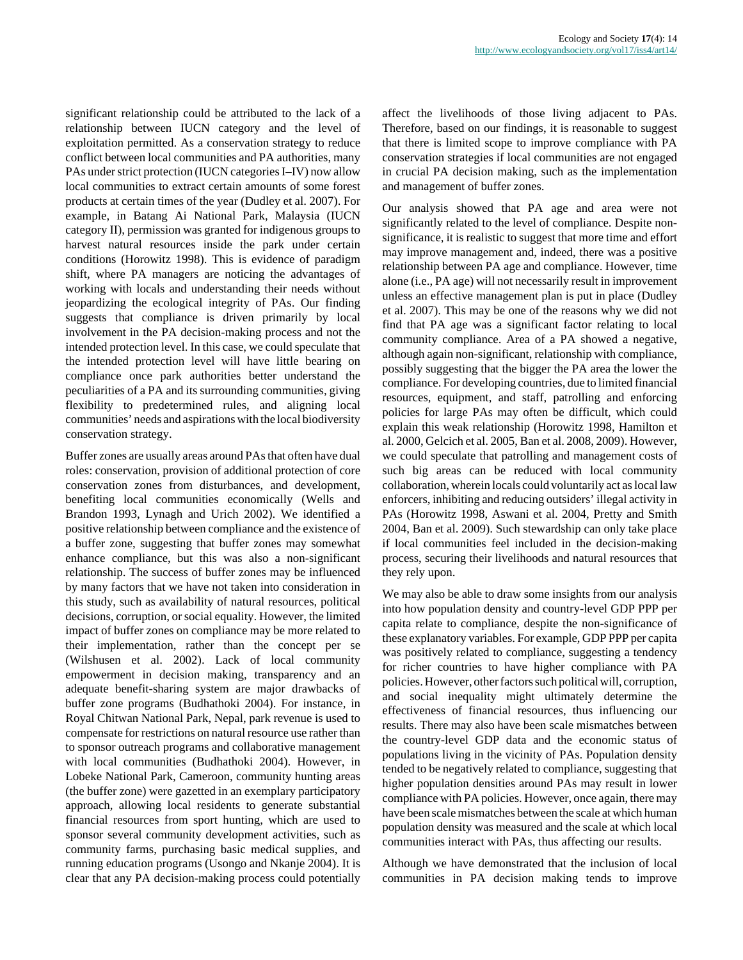significant relationship could be attributed to the lack of a relationship between IUCN category and the level of exploitation permitted. As a conservation strategy to reduce conflict between local communities and PA authorities, many PAs under strict protection (IUCN categories I–IV) now allow local communities to extract certain amounts of some forest products at certain times of the year (Dudley et al. 2007). For example, in Batang Ai National Park, Malaysia (IUCN category II), permission was granted for indigenous groups to harvest natural resources inside the park under certain conditions (Horowitz 1998). This is evidence of paradigm shift, where PA managers are noticing the advantages of working with locals and understanding their needs without jeopardizing the ecological integrity of PAs. Our finding suggests that compliance is driven primarily by local involvement in the PA decision-making process and not the intended protection level. In this case, we could speculate that the intended protection level will have little bearing on compliance once park authorities better understand the peculiarities of a PA and its surrounding communities, giving flexibility to predetermined rules, and aligning local communities' needs and aspirations with the local biodiversity conservation strategy.

Buffer zones are usually areas around PAs that often have dual roles: conservation, provision of additional protection of core conservation zones from disturbances, and development, benefiting local communities economically (Wells and Brandon 1993, Lynagh and Urich 2002). We identified a positive relationship between compliance and the existence of a buffer zone, suggesting that buffer zones may somewhat enhance compliance, but this was also a non-significant relationship. The success of buffer zones may be influenced by many factors that we have not taken into consideration in this study, such as availability of natural resources, political decisions, corruption, or social equality. However, the limited impact of buffer zones on compliance may be more related to their implementation, rather than the concept per se (Wilshusen et al. 2002). Lack of local community empowerment in decision making, transparency and an adequate benefit-sharing system are major drawbacks of buffer zone programs (Budhathoki 2004). For instance, in Royal Chitwan National Park, Nepal, park revenue is used to compensate for restrictions on natural resource use rather than to sponsor outreach programs and collaborative management with local communities (Budhathoki 2004). However, in Lobeke National Park, Cameroon, community hunting areas (the buffer zone) were gazetted in an exemplary participatory approach, allowing local residents to generate substantial financial resources from sport hunting, which are used to sponsor several community development activities, such as community farms, purchasing basic medical supplies, and running education programs (Usongo and Nkanje 2004). It is clear that any PA decision-making process could potentially

affect the livelihoods of those living adjacent to PAs. Therefore, based on our findings, it is reasonable to suggest that there is limited scope to improve compliance with PA conservation strategies if local communities are not engaged in crucial PA decision making, such as the implementation and management of buffer zones.

Our analysis showed that PA age and area were not significantly related to the level of compliance. Despite nonsignificance, it is realistic to suggest that more time and effort may improve management and, indeed, there was a positive relationship between PA age and compliance. However, time alone (i.e., PA age) will not necessarily result in improvement unless an effective management plan is put in place (Dudley et al. 2007). This may be one of the reasons why we did not find that PA age was a significant factor relating to local community compliance. Area of a PA showed a negative, although again non-significant, relationship with compliance, possibly suggesting that the bigger the PA area the lower the compliance. For developing countries, due to limited financial resources, equipment, and staff, patrolling and enforcing policies for large PAs may often be difficult, which could explain this weak relationship (Horowitz 1998, Hamilton et al. 2000, Gelcich et al. 2005, Ban et al. 2008, 2009). However, we could speculate that patrolling and management costs of such big areas can be reduced with local community collaboration, wherein locals could voluntarily act as local law enforcers, inhibiting and reducing outsiders' illegal activity in PAs (Horowitz 1998, Aswani et al. 2004, Pretty and Smith 2004, Ban et al. 2009). Such stewardship can only take place if local communities feel included in the decision-making process, securing their livelihoods and natural resources that they rely upon.

We may also be able to draw some insights from our analysis into how population density and country-level GDP PPP per capita relate to compliance, despite the non-significance of these explanatory variables. For example, GDP PPP per capita was positively related to compliance, suggesting a tendency for richer countries to have higher compliance with PA policies. However, other factors such political will, corruption, and social inequality might ultimately determine the effectiveness of financial resources, thus influencing our results. There may also have been scale mismatches between the country-level GDP data and the economic status of populations living in the vicinity of PAs. Population density tended to be negatively related to compliance, suggesting that higher population densities around PAs may result in lower compliance with PA policies. However, once again, there may have been scale mismatches between the scale at which human population density was measured and the scale at which local communities interact with PAs, thus affecting our results.

Although we have demonstrated that the inclusion of local communities in PA decision making tends to improve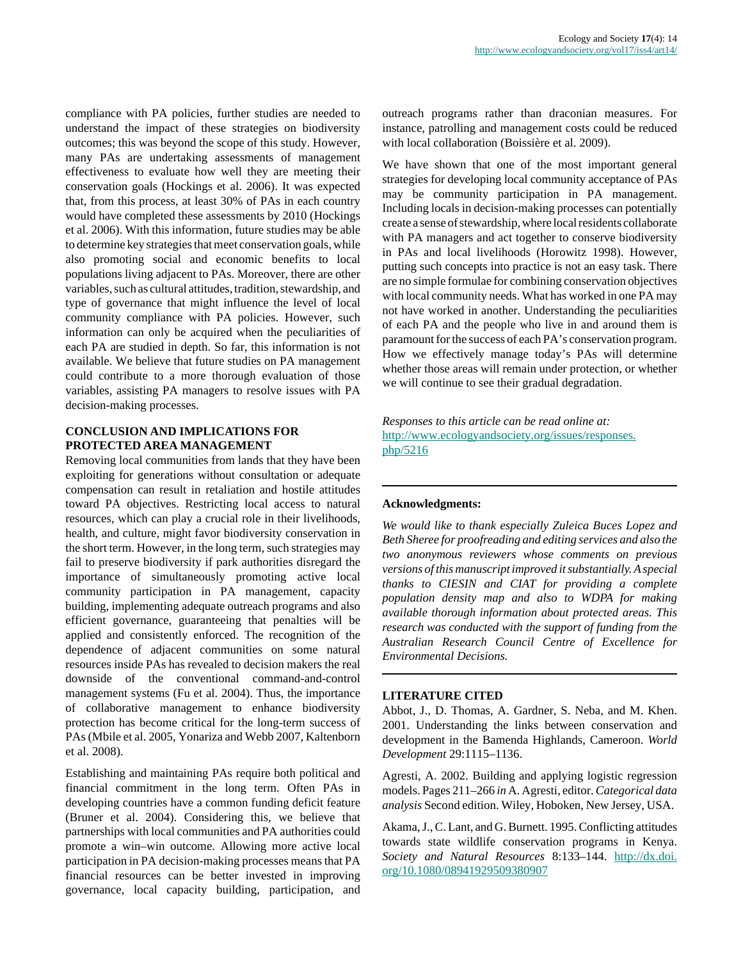compliance with PA policies, further studies are needed to understand the impact of these strategies on biodiversity outcomes; this was beyond the scope of this study. However, many PAs are undertaking assessments of management effectiveness to evaluate how well they are meeting their conservation goals (Hockings et al. 2006). It was expected that, from this process, at least 30% of PAs in each country would have completed these assessments by 2010 (Hockings et al. 2006). With this information, future studies may be able to determine key strategies that meet conservation goals, while also promoting social and economic benefits to local populations living adjacent to PAs. Moreover, there are other variables, such as cultural attitudes, tradition, stewardship, and type of governance that might influence the level of local community compliance with PA policies. However, such information can only be acquired when the peculiarities of each PA are studied in depth. So far, this information is not available. We believe that future studies on PA management could contribute to a more thorough evaluation of those variables, assisting PA managers to resolve issues with PA decision-making processes.

### **CONCLUSION AND IMPLICATIONS FOR PROTECTED AREA MANAGEMENT**

Removing local communities from lands that they have been exploiting for generations without consultation or adequate compensation can result in retaliation and hostile attitudes toward PA objectives. Restricting local access to natural resources, which can play a crucial role in their livelihoods, health, and culture, might favor biodiversity conservation in the short term. However, in the long term, such strategies may fail to preserve biodiversity if park authorities disregard the importance of simultaneously promoting active local community participation in PA management, capacity building, implementing adequate outreach programs and also efficient governance, guaranteeing that penalties will be applied and consistently enforced. The recognition of the dependence of adjacent communities on some natural resources inside PAs has revealed to decision makers the real downside of the conventional command-and-control management systems (Fu et al. 2004). Thus, the importance of collaborative management to enhance biodiversity protection has become critical for the long-term success of PAs (Mbile et al. 2005, Yonariza and Webb 2007, Kaltenborn et al. 2008).

Establishing and maintaining PAs require both political and financial commitment in the long term. Often PAs in developing countries have a common funding deficit feature (Bruner et al. 2004). Considering this, we believe that partnerships with local communities and PA authorities could promote a win–win outcome. Allowing more active local participation in PA decision-making processes means that PA financial resources can be better invested in improving governance, local capacity building, participation, and

outreach programs rather than draconian measures. For instance, patrolling and management costs could be reduced with local collaboration (Boissière et al. 2009).

We have shown that one of the most important general strategies for developing local community acceptance of PAs may be community participation in PA management. Including locals in decision-making processes can potentially create a sense of stewardship, where local residents collaborate with PA managers and act together to conserve biodiversity in PAs and local livelihoods (Horowitz 1998). However, putting such concepts into practice is not an easy task. There are no simple formulae for combining conservation objectives with local community needs. What has worked in one PA may not have worked in another. Understanding the peculiarities of each PA and the people who live in and around them is paramount for the success of each PA's conservation program. How we effectively manage today's PAs will determine whether those areas will remain under protection, or whether we will continue to see their gradual degradation.

*Responses to this article can be read online at:* [http://www.ecologyandsociety.org/issues/responses.](http://www.ecologyandsociety.org/issues/responses.php/5216) [php/5216](http://www.ecologyandsociety.org/issues/responses.php/5216)

# **Acknowledgments:**

*We would like to thank especially Zuleica Buces Lopez and Beth Sheree for proofreading and editing services and also the two anonymous reviewers whose comments on previous versions of this manuscript improved it substantially. A special thanks to CIESIN and CIAT for providing a complete population density map and also to WDPA for making available thorough information about protected areas. This research was conducted with the support of funding from the Australian Research Council Centre of Excellence for Environmental Decisions.*

# **LITERATURE CITED**

Abbot, J., D. Thomas, A. Gardner, S. Neba, and M. Khen. 2001. Understanding the links between conservation and development in the Bamenda Highlands, Cameroon. *World Development* 29:1115–1136.

Agresti, A. 2002. Building and applying logistic regression models. Pages 211–266 *in* A. Agresti, editor. *Categorical data analysis* Second edition. Wiley, Hoboken, New Jersey, USA.

Akama, J., C. Lant, and G. Burnett. 1995. Conflicting attitudes towards state wildlife conservation programs in Kenya. *Society and Natural Resources* 8:133–144. [http://dx.doi.](http://dx.doi.org/10.1080/08941929509380907) [org/10.1080/08941929509380907](http://dx.doi.org/10.1080/08941929509380907)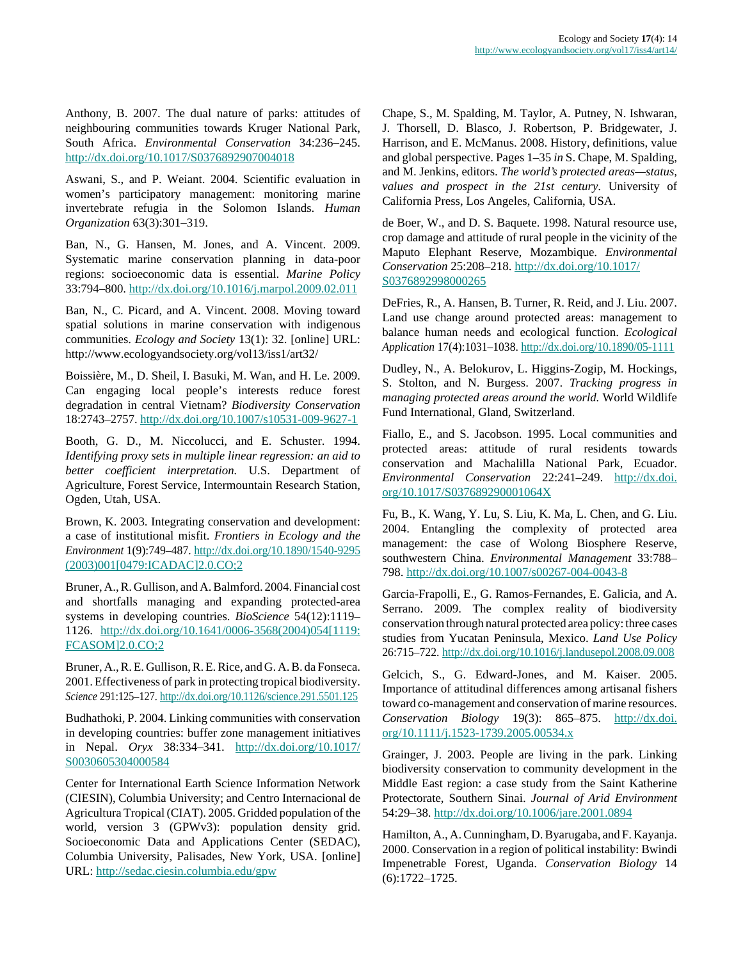Anthony, B. 2007. The dual nature of parks: attitudes of neighbouring communities towards Kruger National Park, South Africa. *Environmental Conservation* 34:236–245. <http://dx.doi.org/10.1017/S0376892907004018>

Aswani, S., and P. Weiant. 2004. Scientific evaluation in women's participatory management: monitoring marine invertebrate refugia in the Solomon Islands. *Human Organization* 63(3):301–319.

Ban, N., G. Hansen, M. Jones, and A. Vincent. 2009. Systematic marine conservation planning in data-poor regions: socioeconomic data is essential. *Marine Policy* 33:794–800.<http://dx.doi.org/10.1016/j.marpol.2009.02.011>

Ban, N., C. Picard, and A. Vincent. 2008. Moving toward spatial solutions in marine conservation with indigenous communities. *Ecology and Society* 13(1): 32. [online] URL: http://www.ecologyandsociety.org/vol13/iss1/art32/

Boissière, M., D. Sheil, I. Basuki, M. Wan, and H. Le. 2009. Can engaging local people's interests reduce forest degradation in central Vietnam? *Biodiversity Conservation* 18:2743–2757. <http://dx.doi.org/10.1007/s10531-009-9627-1>

Booth, G. D., M. Niccolucci, and E. Schuster. 1994. *Identifying proxy sets in multiple linear regression: an aid to better coefficient interpretation.* U.S. Department of Agriculture, Forest Service, Intermountain Research Station, Ogden, Utah, USA.

Brown, K. 2003. Integrating conservation and development: a case of institutional misfit. *Frontiers in Ecology and the Environment* 1(9):749–487. [http://dx.doi.org/10.1890/1540-9295](http://dx.doi.org/10.1890/1540-9295(2003)001[0479:ICADAC]2.0.CO;2) [\(2003\)001\[0479:ICADAC\]2.0.CO;2](http://dx.doi.org/10.1890/1540-9295(2003)001[0479:ICADAC]2.0.CO;2)

Bruner, A., R. Gullison, and A. Balmford. 2004. Financial cost and shortfalls managing and expanding protected-area systems in developing countries. *BioScience* 54(12):1119– 1126. [http://dx.doi.org/10.1641/0006-3568\(2004\)054\[1119:](http://dx.doi.org/10.1641/0006-3568(2004)054[1119:FCASOM]2.0.CO;2) [FCASOM\]2.0.CO;2](http://dx.doi.org/10.1641/0006-3568(2004)054[1119:FCASOM]2.0.CO;2)

Bruner, A., R. E. Gullison, R. E. Rice, and G. A. B. da Fonseca. 2001. Effectiveness of park in protecting tropical biodiversity. *Science* 291:125–127. <http://dx.doi.org/10.1126/science.291.5501.125>

Budhathoki, P. 2004. Linking communities with conservation in developing countries: buffer zone management initiatives in Nepal. *Oryx* 38:334–341. [http://dx.doi.org/10.1017/](http://dx.doi.org/10.1017/S0030605304000584) [S0030605304000584](http://dx.doi.org/10.1017/S0030605304000584)

Center for International Earth Science Information Network (CIESIN), Columbia University; and Centro Internacional de Agricultura Tropical (CIAT). 2005. Gridded population of the world, version 3 (GPWv3): population density grid. Socioeconomic Data and Applications Center (SEDAC), Columbia University, Palisades, New York, USA. [online] URL:<http://sedac.ciesin.columbia.edu/gpw>

Chape, S., M. Spalding, M. Taylor, A. Putney, N. Ishwaran, J. Thorsell, D. Blasco, J. Robertson, P. Bridgewater, J. Harrison, and E. McManus. 2008. History, definitions, value and global perspective. Pages 1–35 *in* S. Chape, M. Spalding, and M. Jenkins, editors. *The world's protected areas—status, values and prospect in the 21st century*. University of California Press, Los Angeles, California, USA.

de Boer, W., and D. S. Baquete. 1998. Natural resource use, crop damage and attitude of rural people in the vicinity of the Maputo Elephant Reserve, Mozambique. *Environmental Conservation* 25:208–218. [http://dx.doi.org/10.1017/](http://dx.doi.org/10.1017/S0376892998000265) [S0376892998000265](http://dx.doi.org/10.1017/S0376892998000265)

DeFries, R., A. Hansen, B. Turner, R. Reid, and J. Liu. 2007. Land use change around protected areas: management to balance human needs and ecological function. *Ecological Application* 17(4):1031–1038.<http://dx.doi.org/10.1890/05-1111>

Dudley, N., A. Belokurov, L. Higgins-Zogip, M. Hockings, S. Stolton, and N. Burgess. 2007. *Tracking progress in managing protected areas around the world.* World Wildlife Fund International, Gland, Switzerland.

Fiallo, E., and S. Jacobson. 1995. Local communities and protected areas: attitude of rural residents towards conservation and Machalilla National Park, Ecuador. *Environmental Conservation* 22:241–249. [http://dx.doi.](http://dx.doi.org/10.1017/S037689290001064X) [org/10.1017/S037689290001064X](http://dx.doi.org/10.1017/S037689290001064X)

Fu, B., K. Wang, Y. Lu, S. Liu, K. Ma, L. Chen, and G. Liu. 2004. Entangling the complexity of protected area management: the case of Wolong Biosphere Reserve, southwestern China. *Environmental Management* 33:788– 798. <http://dx.doi.org/10.1007/s00267-004-0043-8>

Garcia-Frapolli, E., G. Ramos-Fernandes, E. Galicia, and A. Serrano. 2009. The complex reality of biodiversity conservation through natural protected area policy: three cases studies from Yucatan Peninsula, Mexico. *Land Use Policy* 26:715–722.<http://dx.doi.org/10.1016/j.landusepol.2008.09.008>

Gelcich, S., G. Edward-Jones, and M. Kaiser. 2005. Importance of attitudinal differences among artisanal fishers toward co-management and conservation of marine resources. *Conservation Biology* 19(3): 865–875. [http://dx.doi.](http://dx.doi.org/10.1111/j.1523-1739.2005.00534.x) [org/10.1111/j.1523-1739.2005.00534.x](http://dx.doi.org/10.1111/j.1523-1739.2005.00534.x)

Grainger, J. 2003. People are living in the park. Linking biodiversity conservation to community development in the Middle East region: a case study from the Saint Katherine Protectorate, Southern Sinai. *Journal of Arid Environment* 54:29–38. <http://dx.doi.org/10.1006/jare.2001.0894>

Hamilton, A., A. Cunningham, D. Byarugaba, and F. Kayanja. 2000. Conservation in a region of political instability: Bwindi Impenetrable Forest, Uganda. *Conservation Biology* 14 (6):1722–1725.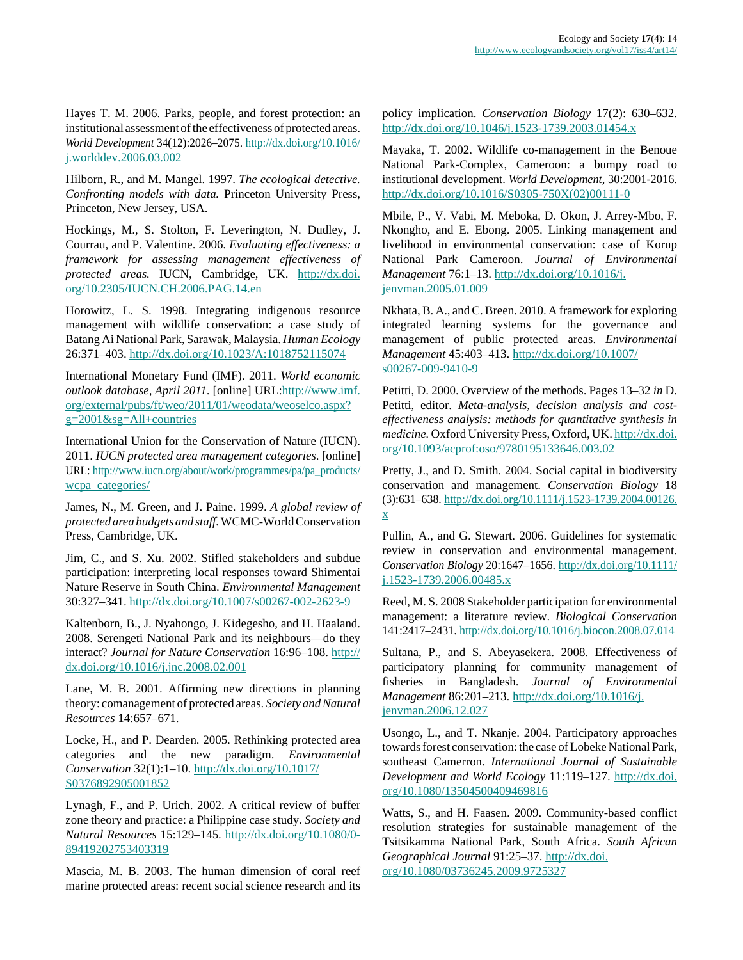Hayes T. M. 2006. Parks, people, and forest protection: an institutional assessment of the effectiveness of protected areas. *World Development* 34(12):2026–2075. [http://dx.doi.org/10.1016/](http://dx.doi.org/10.1016/j.worlddev.2006.03.002) [j.worlddev.2006.03.002](http://dx.doi.org/10.1016/j.worlddev.2006.03.002)

Hilborn, R., and M. Mangel. 1997. *The ecological detective. Confronting models with data.* Princeton University Press, Princeton, New Jersey, USA.

Hockings, M., S. Stolton, F. Leverington, N. Dudley, J. Courrau, and P. Valentine. 2006. *Evaluating effectiveness: a framework for assessing management effectiveness of protected areas.* IUCN, Cambridge, UK. [http://dx.doi.](http://dx.doi.org/10.2305/IUCN.CH.2006.PAG.14.en) [org/10.2305/IUCN.CH.2006.PAG.14.en](http://dx.doi.org/10.2305/IUCN.CH.2006.PAG.14.en)

Horowitz, L. S. 1998. Integrating indigenous resource management with wildlife conservation: a case study of Batang Ai National Park, Sarawak, Malaysia. *Human Ecology* 26:371–403. <http://dx.doi.org/10.1023/A:1018752115074>

International Monetary Fund (IMF). 2011. *World economic outlook database, April 2011*. [online] URL:[http://www.imf.](http://www.imf.org/external/pubs/ft/weo/2011/01/weodata/weoselco.aspx?g=2001&sg=All+countries) [org/external/pubs/ft/weo/2011/01/weodata/weoselco.aspx?](http://www.imf.org/external/pubs/ft/weo/2011/01/weodata/weoselco.aspx?g=2001&sg=All+countries) [g=2001&sg=All+countries](http://www.imf.org/external/pubs/ft/weo/2011/01/weodata/weoselco.aspx?g=2001&sg=All+countries)

International Union for the Conservation of Nature (IUCN). 2011. *IUCN protected area management categories*. [online] URL: [http://www.iucn.org/about/work/programmes/pa/pa\\_products/](http://www.iucn.org/about/work/programmes/pa/pa_products/wcpa_categories/) [wcpa\\_categories/](http://www.iucn.org/about/work/programmes/pa/pa_products/wcpa_categories/)

James, N., M. Green, and J. Paine. 1999. *A global review of protected area budgets and staff.* WCMC-World Conservation Press, Cambridge, UK.

Jim, C., and S. Xu. 2002. Stifled stakeholders and subdue participation: interpreting local responses toward Shimentai Nature Reserve in South China. *Environmental Management* 30:327–341. <http://dx.doi.org/10.1007/s00267-002-2623-9>

Kaltenborn, B., J. Nyahongo, J. Kidegesho, and H. Haaland. 2008. Serengeti National Park and its neighbours—do they interact? *Journal for Nature Conservation* 16:96–108. [http://](http://dx.doi.org/10.1016/j.jnc.2008.02.001) [dx.doi.org/10.1016/j.jnc.2008.02.001](http://dx.doi.org/10.1016/j.jnc.2008.02.001)

Lane, M. B. 2001. Affirming new directions in planning theory: comanagement of protected areas. *Society and Natural Resources* 14:657–671.

Locke, H., and P. Dearden. 2005. Rethinking protected area categories and the new paradigm. *Environmental Conservation* 32(1):1–10. [http://dx.doi.org/10.1017/](http://dx.doi.org/10.1017/S0376892905001852) [S0376892905001852](http://dx.doi.org/10.1017/S0376892905001852)

Lynagh, F., and P. Urich. 2002. A critical review of buffer zone theory and practice: a Philippine case study. *Society and Natural Resources* 15:129–145. [http://dx.doi.org/10.1080/0-](http://dx.doi.org/10.1080/089419202753403319) [89419202753403319](http://dx.doi.org/10.1080/089419202753403319)

Mascia, M. B. 2003. The human dimension of coral reef marine protected areas: recent social science research and its

policy implication. *Conservation Biology* 17(2): 630–632. <http://dx.doi.org/10.1046/j.1523-1739.2003.01454.x>

Mayaka, T. 2002. Wildlife co-management in the Benoue National Park-Complex, Cameroon: a bumpy road to institutional development. *World Development*, 30:2001-2016. [http://dx.doi.org/10.1016/S0305-750X\(02\)00111-0](http://dx.doi.org/10.1016/S0305-750X(02)00111-0)

Mbile, P., V. Vabi, M. Meboka, D. Okon, J. Arrey-Mbo, F. Nkongho, and E. Ebong. 2005. Linking management and livelihood in environmental conservation: case of Korup National Park Cameroon. *Journal of Environmental Management* 76:1–13. [http://dx.doi.org/10.1016/j.](http://dx.doi.org/10.1016/j.jenvman.2005.01.009) [jenvman.2005.01.009](http://dx.doi.org/10.1016/j.jenvman.2005.01.009)

Nkhata, B. A., and C. Breen. 2010. A framework for exploring integrated learning systems for the governance and management of public protected areas. *Environmental Management* 45:403–413. [http://dx.doi.org/10.1007/](http://dx.doi.org/10.1007/s00267-009-9410-9) [s00267-009-9410-9](http://dx.doi.org/10.1007/s00267-009-9410-9)

Petitti, D. 2000. Overview of the methods. Pages 13–32 *in* D. Petitti, editor. *Meta-analysis, decision analysis and costeffectiveness analysis: methods for quantitative synthesis in medicine.* Oxford University Press, Oxford, UK. [http://dx.doi.](http://dx.doi.org/10.1093/acprof:oso/9780195133646.003.02) [org/10.1093/acprof:oso/9780195133646.003.02](http://dx.doi.org/10.1093/acprof:oso/9780195133646.003.02)

Pretty, J., and D. Smith. 2004. Social capital in biodiversity conservation and management. *Conservation Biology* 18 (3):631–638. [http://dx.doi.org/10.1111/j.1523-1739.2004.00126.](http://dx.doi.org/10.1111/j.1523-1739.2004.00126.x) [x](http://dx.doi.org/10.1111/j.1523-1739.2004.00126.x)

Pullin, A., and G. Stewart. 2006. Guidelines for systematic review in conservation and environmental management. *Conservation Biology* 20:1647–1656. [http://dx.doi.org/10.1111/](http://dx.doi.org/10.1111/j.1523-1739.2006.00485.x) [j.1523-1739.2006.00485.x](http://dx.doi.org/10.1111/j.1523-1739.2006.00485.x)

Reed, M. S. 2008 Stakeholder participation for environmental management: a literature review. *Biological Conservation* 141:2417–2431. <http://dx.doi.org/10.1016/j.biocon.2008.07.014>

Sultana, P., and S. Abeyasekera. 2008. Effectiveness of participatory planning for community management of fisheries in Bangladesh. *Journal of Environmental Management* 86:201–213. [http://dx.doi.org/10.1016/j.](http://dx.doi.org/10.1016/j.jenvman.2006.12.027) [jenvman.2006.12.027](http://dx.doi.org/10.1016/j.jenvman.2006.12.027)

Usongo, L., and T. Nkanje. 2004. Participatory approaches towards forest conservation: the case of Lobeke National Park, southeast Camerron. *International Journal of Sustainable Development and World Ecology* 11:119–127. [http://dx.doi.](http://dx.doi.org/10.1080/13504500409469816) [org/10.1080/13504500409469816](http://dx.doi.org/10.1080/13504500409469816)

Watts, S., and H. Faasen. 2009. Community-based conflict resolution strategies for sustainable management of the Tsitsikamma National Park, South Africa. *South African Geographical Journal* 91:25–37. [http://dx.doi.](http://dx.doi.org/10.1080/03736245.2009.9725327) [org/10.1080/03736245.2009.9725327](http://dx.doi.org/10.1080/03736245.2009.9725327)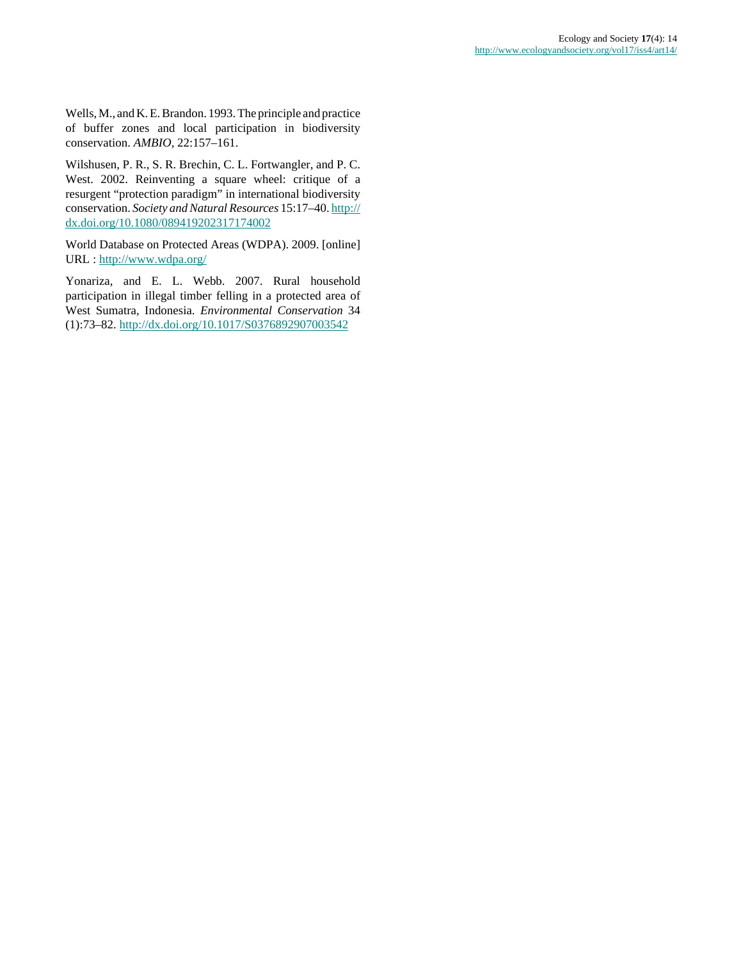Wells, M., and K. E. Brandon. 1993. The principle and practice of buffer zones and local participation in biodiversity conservation. *AMBIO*, 22:157–161.

Wilshusen, P. R., S. R. Brechin, C. L. Fortwangler, and P. C. West. 2002. Reinventing a square wheel: critique of a resurgent "protection paradigm" in international biodiversity conservation. *Society and Natural Resources* 15:17–40. [http://](http://dx.doi.org/10.1080/089419202317174002) [dx.doi.org/10.1080/089419202317174002](http://dx.doi.org/10.1080/089419202317174002)

World Database on Protected Areas (WDPA). 2009. [online] URL : <http://www.wdpa.org/>

Yonariza, and E. L. Webb. 2007. Rural household participation in illegal timber felling in a protected area of West Sumatra, Indonesia. *Environmental Conservation* 34 (1):73–82.<http://dx.doi.org/10.1017/S0376892907003542>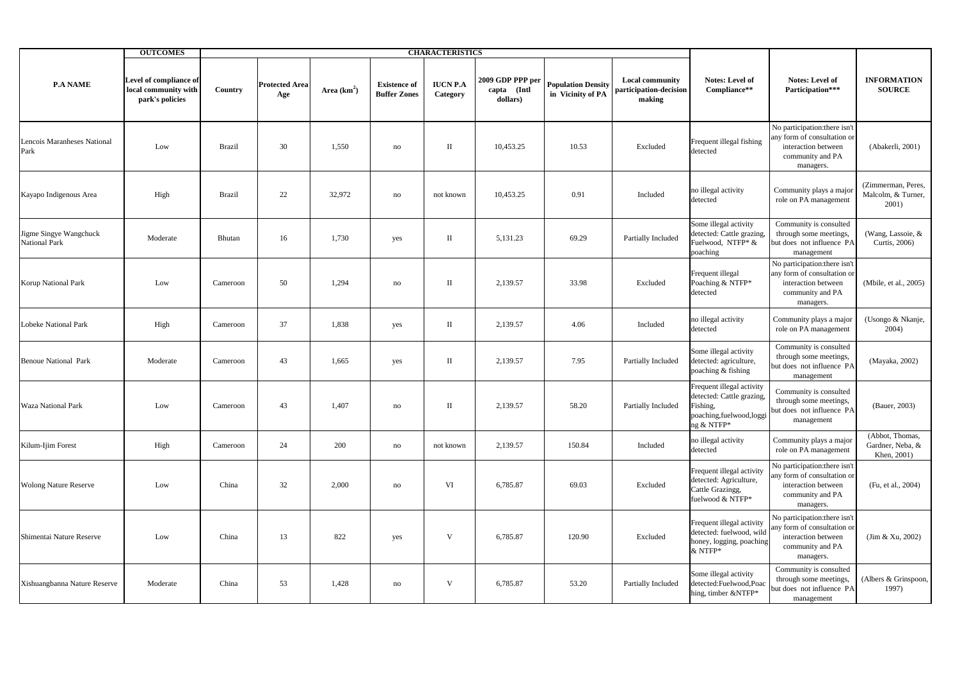|                                         | <b>OUTCOMES</b>                                                   |                |                              |               |                                            | <b>CHARACTERISTICS</b>          |                                             |                                                |                                                            |                                                                                                             |                                                                                                                      |                                                    |
|-----------------------------------------|-------------------------------------------------------------------|----------------|------------------------------|---------------|--------------------------------------------|---------------------------------|---------------------------------------------|------------------------------------------------|------------------------------------------------------------|-------------------------------------------------------------------------------------------------------------|----------------------------------------------------------------------------------------------------------------------|----------------------------------------------------|
| <b>P.A NAME</b>                         | Level of compliance of<br>local community with<br>park's policies | <b>Country</b> | <b>Protected Area</b><br>Age | Area $(km^2)$ | <b>Existence of</b><br><b>Buffer Zones</b> | <b>IUCN P.A</b><br>Category     | 2009 GDP PPP per<br>capta (Intl<br>dollars) | <b>Population Density</b><br>in Vicinity of PA | <b>Local community</b><br>participation-decision<br>making | <b>Notes: Level of</b><br>Compliance**                                                                      | <b>Notes: Level of</b><br>Participation***                                                                           | <b>INFORMATION</b><br><b>SOURCE</b>                |
| Lencois Maranheses National<br>Park     | Low                                                               | <b>Brazil</b>  | 30                           | 1,550         | no                                         | $\mathbf{I}$                    | 10,453.25                                   | 10.53                                          | Excluded                                                   | Frequent illegal fishing<br>detected                                                                        | No participation: there isn't<br>any form of consultation or<br>interaction between<br>community and PA<br>managers. | (Abakerli, 2001)                                   |
| Kayapo Indigenous Area                  | High                                                              | <b>Brazil</b>  | 22                           | 32,972        | no                                         | not known                       | 10,453.25                                   | 0.91                                           | Included                                                   | no illegal activity<br>detected                                                                             | Community plays a major<br>role on PA management                                                                     | (Zimmerman, Peres,<br>Malcolm, & Turner,<br>2001)  |
| Jigme Singye Wangchuck<br>National Park | Moderate                                                          | Bhutan         | 16                           | 1,730         | yes                                        | $\mathbf{I}$                    | 5,131.23                                    | 69.29                                          | Partially Included                                         | Some illegal activity<br>detected: Cattle grazing,<br>Fuelwood, NTFP* &<br>poaching                         | Community is consulted<br>through some meetings,<br>but does not influence PA<br>management                          | (Wang, Lassoie, &<br>Curtis, 2006)                 |
| <b>Korup National Park</b>              | Low                                                               | Cameroon       | 50                           | 1,294         | no                                         | $\rm II$                        | 2,139.57                                    | 33.98                                          | Excluded                                                   | Frequent illegal<br>Poaching & NTFP*<br>detected                                                            | No participation: there isn't<br>any form of consultation or<br>interaction between<br>community and PA<br>managers. | (Mbile, et al., 2005)                              |
| Lobeke National Park                    | High                                                              | Cameroon       | 37                           | 1,838         | yes                                        | $\mathop{\mathrm{II}}\nolimits$ | 2,139.57                                    | 4.06                                           | Included                                                   | no illegal activity<br>detected                                                                             | Community plays a major<br>role on PA management                                                                     | (Usongo & Nkanje,<br>2004)                         |
| <b>Benoue National Park</b>             | Moderate                                                          | Cameroon       | 43                           | 1,665         | yes                                        | $\rm II$                        | 2,139.57                                    | 7.95                                           | <b>Partially Included</b>                                  | Some illegal activity<br>detected: agriculture,<br>poaching & fishing                                       | Community is consulted<br>through some meetings,<br>but does not influence PA<br>management                          | (Mayaka, 2002)                                     |
| <b>Waza National Park</b>               | Low                                                               | Cameroon       | 43                           | 1,407         | no                                         | $\mathbf{I}$                    | 2,139.57                                    | 58.20                                          | Partially Included                                         | Frequent illegal activity<br>detected: Cattle grazing,<br>Fishing,<br>poaching,fuelwood,loggi<br>ng & NTFP* | Community is consulted<br>through some meetings,<br>but does not influence PA<br>management                          | (Bauer, 2003)                                      |
| Kilum-Ijim Forest                       | High                                                              | Cameroon       | 24                           | 200           | no                                         | not known                       | 2,139.57                                    | 150.84                                         | Included                                                   | no illegal activity<br>detected                                                                             | Community plays a major<br>role on PA management                                                                     | (Abbot, Thomas,<br>Gardner, Neba, &<br>Khen, 2001) |
| <b>Wolong Nature Reserve</b>            | Low                                                               | China          | 32                           | 2,000         | no                                         | <b>VI</b>                       | 6,785.87                                    | 69.03                                          | Excluded                                                   | Frequent illegal activity<br>detected: Agriculture,<br>Cattle Grazingg,<br>fuelwood & NTFP*                 | No participation: there isn't<br>any form of consultation or<br>interaction between<br>community and PA<br>managers. | (Fu, et al., 2004)                                 |
| Shimentai Nature Reserve                | Low                                                               | China          | 13                           | 822           | yes                                        | $\mathbf{V}$                    | 6,785.87                                    | 120.90                                         | Excluded                                                   | Frequent illegal activity<br>detected: fuelwood, wild<br>honey, logging, poaching<br>& NTFP*                | No participation: there isn't<br>any form of consultation or<br>interaction between<br>community and PA<br>managers. | (Jim & Xu, 2002)                                   |
| Xishuangbanna Nature Reserve            | Moderate                                                          | China          | 53                           | 1,428         | no                                         | $\overline{V}$                  | 6,785.87                                    | 53.20                                          | <b>Partially Included</b>                                  | Some illegal activity<br>detected:Fuelwood,Poac<br>hing, timber &NTFP*                                      | Community is consulted<br>through some meetings,<br>but does not influence PA<br>management                          | (Albers & Grinspoon,<br>1997)                      |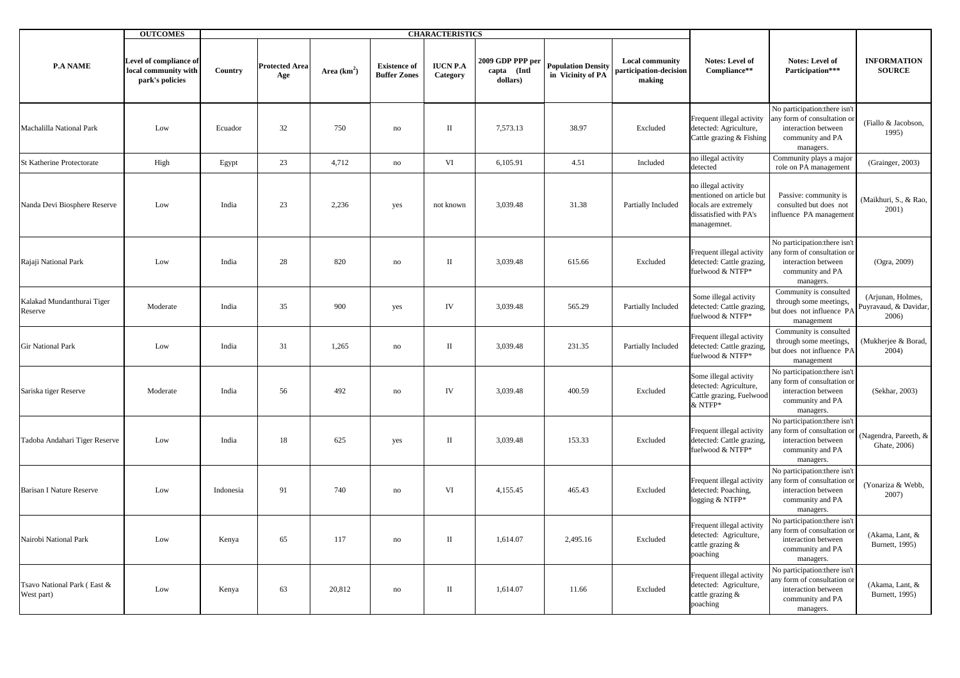|                                           | <b>OUTCOMES</b>                                                   |           |                              |               |                                            | <b>CHARACTERISTICS</b>      |                                             |                                                |                                                            |                                                                                                                  |                                                                                                                      |                                       |
|-------------------------------------------|-------------------------------------------------------------------|-----------|------------------------------|---------------|--------------------------------------------|-----------------------------|---------------------------------------------|------------------------------------------------|------------------------------------------------------------|------------------------------------------------------------------------------------------------------------------|----------------------------------------------------------------------------------------------------------------------|---------------------------------------|
| <b>P.A NAME</b>                           | Level of compliance of<br>local community with<br>park's policies | Country   | <b>Protected Area</b><br>Age | Area $(km^2)$ | <b>Existence of</b><br><b>Buffer Zones</b> | <b>IUCN P.A</b><br>Category | 2009 GDP PPP per<br>capta (Intl<br>dollars) | <b>Population Density</b><br>in Vicinity of PA | <b>Local community</b><br>participation-decision<br>making | <b>Notes: Level of</b><br>Compliance**                                                                           | <b>Notes: Level of</b><br>Participation***                                                                           | <b>INFORMATION</b><br><b>SOURCE</b>   |
| Machalilla National Park                  | Low                                                               | Ecuador   | 32                           | 750           | no                                         | $\rm II$                    | 7,573.13                                    | 38.97                                          | Excluded                                                   | Frequent illegal activity<br>detected: Agriculture,<br>Cattle grazing & Fishing                                  | No participation: there isn't<br>any form of consultation or<br>interaction between<br>community and PA<br>managers. | (Fiallo & Jacobson,<br>1995)          |
| <b>St Katherine Protectorate</b>          | High                                                              | Egypt     | 23                           | 4,712         | no                                         | VI                          | 6,105.91                                    | 4.51                                           | Included                                                   | no illegal activity<br>detected                                                                                  | Community plays a major<br>role on PA management                                                                     | (Grainger, 2003)                      |
| Nanda Devi Biosphere Reserve              | Low                                                               | India     | 23                           | 2,236         | yes                                        | not known                   | 3,039.48                                    | 31.38                                          | <b>Partially Included</b>                                  | no illegal activity<br>mentioned on article but<br>locals are extremely<br>dissatisfied with PA's<br>managemnet. | Passive: community is<br>consulted but does not<br>influence PA management                                           | (Maikhuri, S., & Rao,<br>2001)        |
| Rajaji National Park                      | Low                                                               | India     | 28                           | 820           | no                                         | $\rm II$                    | 3,039.48                                    | 615.66                                         | Excluded                                                   | Frequent illegal activity<br>detected: Cattle grazing,<br>fuelwood & NTFP*                                       | No participation: there isn't<br>any form of consultation or<br>interaction between<br>community and PA<br>managers. | (Ogra, 2009)                          |
| Kalakad Mundanthurai Tiger<br>Reserve     | Moderate                                                          | India     | 35                           | 900           | yes                                        | IV                          | 3,039.48                                    | 565.29                                         | Partially Included                                         | Some illegal activity<br>detected: Cattle grazing,<br>fuelwood & NTFP*                                           | Community is consulted<br>through some meetings,<br>but does not influence PA Puyravaud, & Davidar,<br>management    | (Arjunan, Holmes,<br>2006)            |
| <b>Gir National Park</b>                  | Low                                                               | India     | 31                           | 1,265         | no                                         | $\mathbf{I}$                | 3,039.48                                    | 231.35                                         | <b>Partially Included</b>                                  | Frequent illegal activity<br>detected: Cattle grazing,<br>fuelwood & NTFP*                                       | Community is consulted<br>through some meetings,<br>but does not influence PA<br>management                          | (Mukherjee & Borad,<br>2004)          |
| Sariska tiger Reserve                     | Moderate                                                          | India     | 56                           | 492           | no                                         | IV                          | 3,039.48                                    | 400.59                                         | Excluded                                                   | Some illegal activity<br>detected: Agriculture,<br>Cattle grazing, Fuelwood<br>$&$ NTFP*                         | No participation: there isn't<br>any form of consultation or<br>interaction between<br>community and PA<br>managers. | (Sekhar, 2003)                        |
| Tadoba Andahari Tiger Reserve             | Low                                                               | India     | 18                           | 625           | yes                                        | $\mathbf{I}$                | 3,039.48                                    | 153.33                                         | Excluded                                                   | Frequent illegal activity<br>detected: Cattle grazing,<br>fuelwood & NTFP*                                       | No participation: there isn't<br>any form of consultation or<br>interaction between<br>community and PA<br>managers. | (Nagendra, Pareeth, &<br>Ghate, 2006) |
| <b>Barisan I Nature Reserve</b>           | Low                                                               | Indonesia | 91                           | 740           | no                                         | VI                          | 4,155.45                                    | 465.43                                         | Excluded                                                   | Frequent illegal activity<br>detected: Poaching,<br>logging & NTFP*                                              | No participation: there isn't<br>any form of consultation or<br>interaction between<br>community and PA<br>managers. | (Yonariza & Webb,<br>2007)            |
| Nairobi National Park                     | Low                                                               | Kenya     | 65                           | 117           | no                                         | $\mathbf{I}$                | 1,614.07                                    | 2,495.16                                       | Excluded                                                   | Frequent illegal activity<br>detected: Agriculture,<br>cattle grazing &<br>poaching                              | No participation: there isn't<br>any form of consultation or<br>interaction between<br>community and PA<br>managers. | (Akama, Lant, &<br>Burnett, 1995)     |
| Tsavo National Park (East &<br>West part) | Low                                                               | Kenya     | 63                           | 20,812        | no                                         | $\mathop{\rm II}$           | 1,614.07                                    | 11.66                                          | Excluded                                                   | Frequent illegal activity<br>detected: Agriculture,<br>cattle grazing &<br>poaching                              | No participation: there isn't<br>any form of consultation or<br>interaction between<br>community and PA<br>managers. | (Akama, Lant, &<br>Burnett, 1995)     |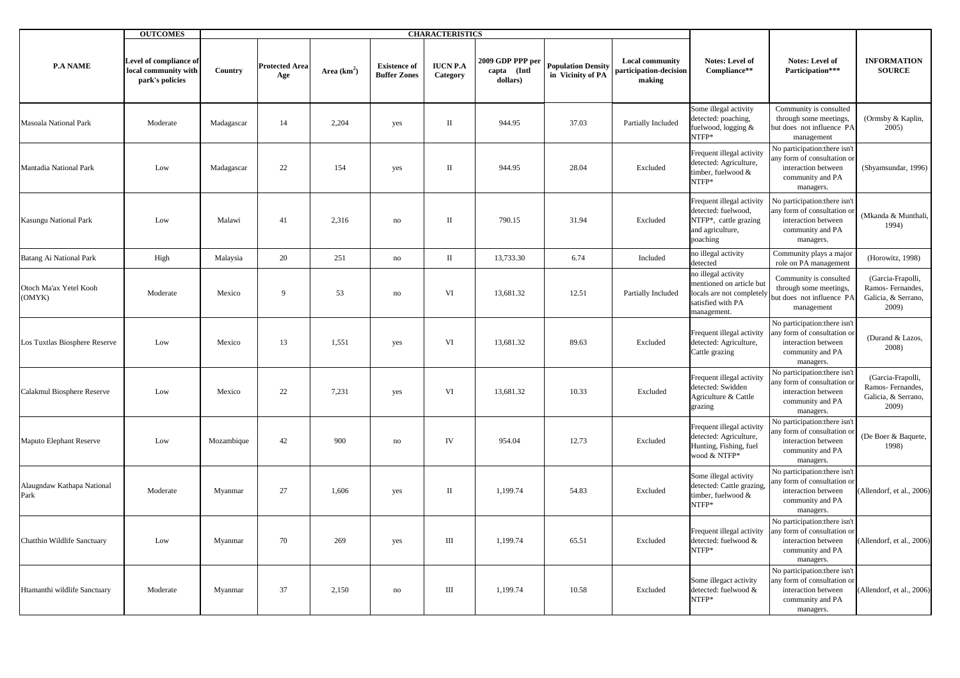|                                    | <b>OUTCOMES</b>                                                   |                |                              |               |                                            | <b>CHARACTERISTICS</b>      |                                             |                                                |                                                            |                                                                                                                  |                                                                                                                      |                                                                       |
|------------------------------------|-------------------------------------------------------------------|----------------|------------------------------|---------------|--------------------------------------------|-----------------------------|---------------------------------------------|------------------------------------------------|------------------------------------------------------------|------------------------------------------------------------------------------------------------------------------|----------------------------------------------------------------------------------------------------------------------|-----------------------------------------------------------------------|
| <b>P.A NAME</b>                    | Level of compliance of<br>local community with<br>park's policies | <b>Country</b> | <b>Protected Area</b><br>Age | Area $(km^2)$ | <b>Existence of</b><br><b>Buffer Zones</b> | <b>IUCN P.A</b><br>Category | 2009 GDP PPP per<br>capta (Intl<br>dollars) | <b>Population Density</b><br>in Vicinity of PA | <b>Local community</b><br>participation-decision<br>making | <b>Notes: Level of</b><br>Compliance**                                                                           | <b>Notes: Level of</b><br>Participation***                                                                           | <b>INFORMATION</b><br><b>SOURCE</b>                                   |
| <b>Masoala National Park</b>       | Moderate                                                          | Madagascar     | 14                           | 2,204         | yes                                        | $\rm II$                    | 944.95                                      | 37.03                                          | Partially Included                                         | Some illegal activity<br>detected: poaching,<br>fuelwood, logging &<br>NTFP*                                     | Community is consulted<br>through some meetings,<br>but does not influence PA<br>management                          | (Ormsby & Kaplin,<br>2005)                                            |
| Mantadia National Park             | Low                                                               | Madagascar     | 22                           | 154           | yes                                        | $\rm II$                    | 944.95                                      | 28.04                                          | Excluded                                                   | Frequent illegal activity<br>detected: Agriculture,<br>timber, fuelwood $\&$<br>NTFP*                            | No participation: there isn't<br>any form of consultation or<br>interaction between<br>community and PA<br>managers. | (Shyamsundar, 1996)                                                   |
| <b>Kasungu National Park</b>       | Low                                                               | Malawi         | 41                           | 2,316         | no                                         | $\rm II$                    | 790.15                                      | 31.94                                          | Excluded                                                   | Frequent illegal activity<br>detected: fuelwood.<br>NTFP*, cattle grazing<br>and agriculture,<br>poaching        | No participation: there isn't<br>any form of consultation or<br>interaction between<br>community and PA<br>managers. | (Mkanda & Munthali,<br>1994)                                          |
| <b>Batang Ai National Park</b>     | High                                                              | Malaysia       | 20                           | 251           | no                                         | $\mathbf{I}$                | 13,733.30                                   | 6.74                                           | Included                                                   | no illegal activity<br>detected                                                                                  | Community plays a major<br>role on PA management                                                                     | (Horowitz, 1998)                                                      |
| Otoch Ma'ax Yetel Kooh<br>(OMYK)   | Moderate                                                          | Mexico         | 9                            | 53            | no                                         | VI                          | 13,681.32                                   | 12.51                                          | <b>Partially Included</b>                                  | no illegal activity<br>mentioned on article but<br>locals are not completely<br>satisfied with PA<br>management. | Community is consulted<br>through some meetings,<br>but does not influence PA<br>management                          | (Garcia-Frapolli,<br>Ramos-Fernandes,<br>Galicia, & Serrano,<br>2009) |
| Los Tuxtlas Biosphere Reserve      | Low                                                               | Mexico         | 13                           | 1,551         | yes                                        | VI                          | 13,681.32                                   | 89.63                                          | Excluded                                                   | Frequent illegal activity<br>detected: Agriculture,<br>Cattle grazing                                            | No participation: there isn't<br>any form of consultation or<br>interaction between<br>community and PA<br>managers. | (Durand & Lazos,<br>2008)                                             |
| Calakmul Biosphere Reserve         | Low                                                               | Mexico         | 22                           | 7,231         | yes                                        | VI                          | 13,681.32                                   | 10.33                                          | Excluded                                                   | Frequent illegal activity<br>detected: Swidden<br>Agriculture & Cattle<br>grazing                                | No participation: there isn't<br>any form of consultation or<br>interaction between<br>community and PA<br>managers. | (Garcia-Frapolli,<br>Ramos-Fernandes,<br>Galicia, & Serrano,<br>2009) |
| <b>Maputo Elephant Reserve</b>     | Low                                                               | Mozambique     | 42                           | 900           | no                                         | IV                          | 954.04                                      | 12.73                                          | Excluded                                                   | Frequent illegal activity<br>detected: Agriculture,<br>Hunting, Fishing, fuel<br>wood & NTFP*                    | No participation: there isn't<br>any form of consultation or<br>interaction between<br>community and PA<br>managers. | (De Boer & Baquete,<br>1998)                                          |
| Alaugndaw Kathapa National<br>Park | Moderate                                                          | Myanmar        | 27                           | 1,606         | yes                                        | $\mathbf{I}$                | 1,199.74                                    | 54.83                                          | Excluded                                                   | Some illegal activity<br>detected: Cattle grazing,<br>timber, fuelwood $\&$<br>NTFP*                             | No participation: there isn't<br>any form of consultation or<br>interaction between<br>community and PA<br>managers. | (Allendorf, et al., 2006)                                             |
| <b>Chatthin Wildlife Sanctuary</b> | Low                                                               | Myanmar        | 70                           | 269           | yes                                        | $\rm III$                   | 1,199.74                                    | 65.51                                          | Excluded                                                   | Frequent illegal activity<br>detected: fuelwood &<br>NTFP*                                                       | No participation: there isn't<br>any form of consultation or<br>interaction between<br>community and PA<br>managers. | (Allendorf, et al., 2006)                                             |
| Htamanthi wildlife Sanctuary       | Moderate                                                          | Myanmar        | 37                           | 2,150         | no                                         | $\rm III$                   | 1,199.74                                    | 10.58                                          | Excluded                                                   | Some illegact activity<br>detected: fuelwood &<br>NTFP*                                                          | No participation: there isn't<br>any form of consultation or<br>interaction between<br>community and PA<br>managers. | (Allendorf, et al., 2006)                                             |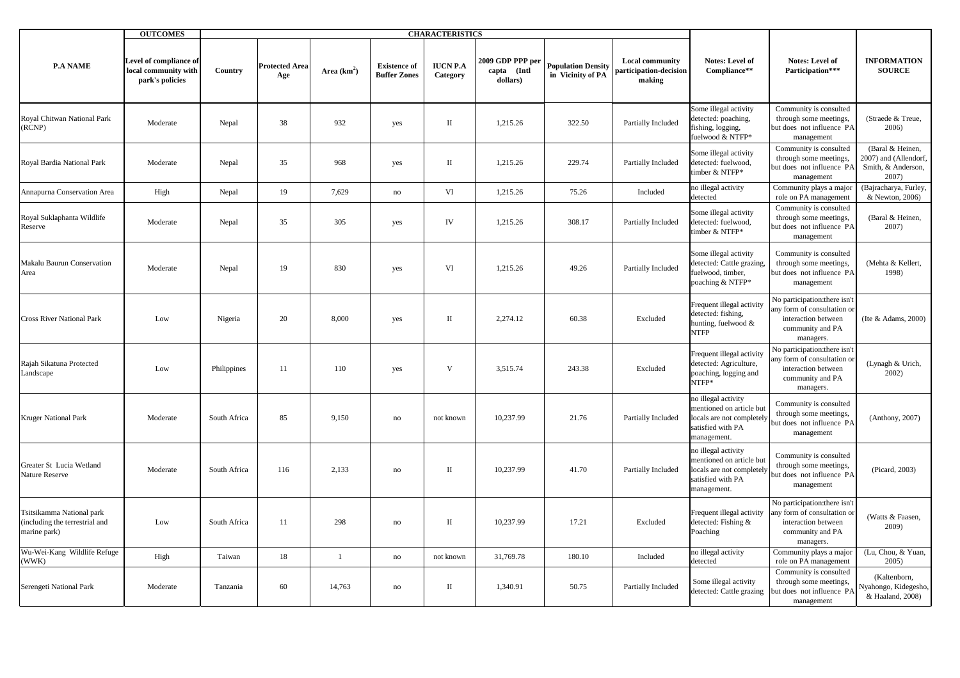|                                                                             | <b>OUTCOMES</b>                                                   |              |                              |               |                                            | <b>CHARACTERISTICS</b>      |                                             |                                                |                                                            |                                                                                                                  |                                                                                                                      |                                                                          |
|-----------------------------------------------------------------------------|-------------------------------------------------------------------|--------------|------------------------------|---------------|--------------------------------------------|-----------------------------|---------------------------------------------|------------------------------------------------|------------------------------------------------------------|------------------------------------------------------------------------------------------------------------------|----------------------------------------------------------------------------------------------------------------------|--------------------------------------------------------------------------|
| <b>P.A NAME</b>                                                             | Level of compliance of<br>local community with<br>park's policies | Country      | <b>Protected Area</b><br>Age | Area $(km^2)$ | <b>Existence of</b><br><b>Buffer Zones</b> | <b>IUCN P.A</b><br>Category | 2009 GDP PPP per<br>capta (Intl<br>dollars) | <b>Population Density</b><br>in Vicinity of PA | <b>Local community</b><br>participation-decision<br>making | <b>Notes: Level of</b><br>Compliance**                                                                           | <b>Notes:</b> Level of<br>Participation***                                                                           | <b>INFORMATION</b><br><b>SOURCE</b>                                      |
| Royal Chitwan National Park<br>(RCNP)                                       | Moderate                                                          | Nepal        | 38                           | 932           | yes                                        | $\mathop{\mathrm{II}}$      | 1,215.26                                    | 322.50                                         | Partially Included                                         | Some illegal activity<br>detected: poaching,<br>fishing, logging,<br>fuelwood & NTFP*                            | Community is consulted<br>through some meetings,<br>but does not influence PA<br>management                          | (Straede & Treue,<br>2006)                                               |
| Royal Bardia National Park                                                  | Moderate                                                          | Nepal        | 35                           | 968           | yes                                        | $\rm II$                    | 1,215.26                                    | 229.74                                         | <b>Partially Included</b>                                  | Some illegal activity<br>detected: fuelwood.<br>timber & NTFP*                                                   | Community is consulted<br>through some meetings,<br>but does not influence PA<br>management                          | (Baral & Heinen,<br>2007) and (Allendorf,<br>Smith, & Anderson,<br>2007) |
| Annapurna Conservation Area                                                 | High                                                              | Nepal        | 19                           | 7,629         | no                                         | <b>VI</b>                   | 1,215.26                                    | 75.26                                          | Included                                                   | no illegal activity<br>detected                                                                                  | Community plays a major<br>role on PA management                                                                     | (Bajracharya, Furley,<br>& Newton, 2006)                                 |
| Royal Suklaphanta Wildlife<br>Reserve                                       | Moderate                                                          | Nepal        | 35                           | 305           | yes                                        | IV                          | 1,215.26                                    | 308.17                                         | <b>Partially Included</b>                                  | Some illegal activity<br>detected: fuelwood.<br>timber & NTFP*                                                   | Community is consulted<br>through some meetings,<br>but does not influence PA<br>management                          | (Baral & Heinen,<br>2007)                                                |
| <b>Makalu Baurun Conservation</b><br>Area                                   | Moderate                                                          | Nepal        | 19                           | 830           | yes                                        | <b>VI</b>                   | 1,215.26                                    | 49.26                                          | Partially Included                                         | Some illegal activity<br>detected: Cattle grazing,<br>fuelwood, timber,<br>poaching & NTFP*                      | Community is consulted<br>through some meetings,<br>but does not influence PA<br>management                          | (Mehta & Kellert,<br>1998)                                               |
| <b>Cross River National Park</b>                                            | Low                                                               | Nigeria      | 20                           | 8,000         | yes                                        | $\mathbf{I}$                | 2,274.12                                    | 60.38                                          | Excluded                                                   | Frequent illegal activity<br>detected: fishing,<br>hunting, fuelwood &<br><b>NTFP</b>                            | No participation: there isn't<br>any form of consultation or<br>interaction between<br>community and PA<br>managers. | (Ite & Adams, 2000)                                                      |
| Rajah Sikatuna Protected<br>Landscape                                       | Low                                                               | Philippines  | 11                           | 110           | yes                                        | $\mathbf{V}$                | 3,515.74                                    | 243.38                                         | Excluded                                                   | Frequent illegal activity<br>detected: Agriculture,<br>poaching, logging and<br>NTFP*                            | No participation: there isn't<br>any form of consultation or<br>interaction between<br>community and PA<br>managers. | (Lynagh & Urich,<br>2002)                                                |
| <b>Kruger National Park</b>                                                 | Moderate                                                          | South Africa | 85                           | 9,150         | no                                         | not known                   | 10,237.99                                   | 21.76                                          | <b>Partially Included</b>                                  | no illegal activity<br>mentioned on article but<br>locals are not completely<br>satisfied with PA<br>management. | Community is consulted<br>through some meetings,<br>but does not influence PA<br>management                          | (Anthony, 2007)                                                          |
| Greater St Lucia Wetland<br><b>Nature Reserve</b>                           | Moderate                                                          | South Africa | 116                          | 2,133         | no                                         | $\rm II$                    | 10,237.99                                   | 41.70                                          | Partially Included                                         | no illegal activity<br>mentioned on article but<br>locals are not completely<br>satisfied with PA<br>management. | Community is consulted<br>through some meetings,<br>but does not influence PA<br>management                          | (Picard, 2003)                                                           |
| Tsitsikamma National park<br>(including the terrestrial and<br>marine park) | Low                                                               | South Africa | 11                           | 298           | no                                         | $\mathop{\mathrm{II}}$      | 10,237.99                                   | 17.21                                          | Excluded                                                   | Frequent illegal activity<br>detected: Fishing &<br>Poaching                                                     | No participation: there isn't<br>any form of consultation or<br>interaction between<br>community and PA<br>managers. | (Watts & Faasen,<br>2009)                                                |
| Wu-Wei-Kang Wildlife Refuge<br>(WWK)                                        | High                                                              | Taiwan       | 18                           |               | no                                         | not known                   | 31,769.78                                   | 180.10                                         | Included                                                   | no illegal activity<br>detected                                                                                  | Community plays a major<br>role on PA management                                                                     | (Lu, Chou, & Yuan,<br>2005)                                              |
| Serengeti National Park                                                     | Moderate                                                          | Tanzania     | 60                           | 14,763        | no                                         | $\mathop{\mathrm{II}}$      | 1,340.91                                    | 50.75                                          | Partially Included                                         | Some illegal activity<br>detected: Cattle grazing                                                                | Community is consulted<br>through some meetings,<br>but does not influence PA<br>management                          | (Kaltenborn,<br>Nyahongo, Kidegesho,<br>& Haaland, 2008)                 |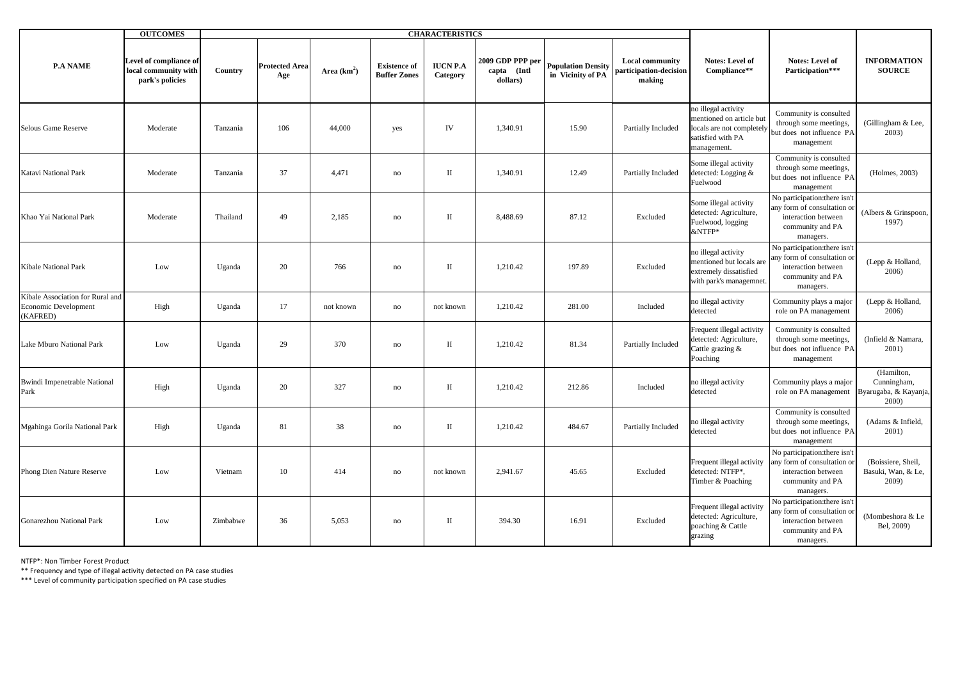|                                                                             | <b>OUTCOMES</b>                                                   |                |                              |               |                                            | <b>CHARACTERISTICS</b>      |                                             |                                                |                                                            |                                                                                                                  |                                                                                                                      |                                                             |
|-----------------------------------------------------------------------------|-------------------------------------------------------------------|----------------|------------------------------|---------------|--------------------------------------------|-----------------------------|---------------------------------------------|------------------------------------------------|------------------------------------------------------------|------------------------------------------------------------------------------------------------------------------|----------------------------------------------------------------------------------------------------------------------|-------------------------------------------------------------|
| <b>P.A NAME</b>                                                             | Level of compliance of<br>local community with<br>park's policies | <b>Country</b> | <b>Protected Area</b><br>Age | Area $(km^2)$ | <b>Existence of</b><br><b>Buffer Zones</b> | <b>IUCN P.A</b><br>Category | 2009 GDP PPP per<br>capta (Intl<br>dollars) | <b>Population Density</b><br>in Vicinity of PA | <b>Local community</b><br>participation-decision<br>making | <b>Notes: Level of</b><br>Compliance**                                                                           | <b>Notes: Level of</b><br>Participation***                                                                           | <b>INFORMATION</b><br><b>SOURCE</b>                         |
| <b>Selous Game Reserve</b>                                                  | Moderate                                                          | Tanzania       | 106                          | 44,000        | yes                                        | IV                          | 1,340.91                                    | 15.90                                          | Partially Included                                         | no illegal activity<br>mentioned on article but<br>locals are not completely<br>satisfied with PA<br>management. | Community is consulted<br>through some meetings,<br>but does not influence PA<br>management                          | (Gillingham & Lee,<br>2003)                                 |
| <b>Katavi National Park</b>                                                 | Moderate                                                          | Tanzania       | 37                           | 4,471         | no                                         | $\mathbf{I}$                | 1,340.91                                    | 12.49                                          | Partially Included                                         | Some illegal activity<br>detected: Logging &<br>Fuelwood                                                         | Community is consulted<br>through some meetings,<br>but does not influence PA<br>management                          | (Holmes, 2003)                                              |
| Khao Yai National Park                                                      | Moderate                                                          | Thailand       | 49                           | 2,185         | no                                         | $\mathbf{I}$                | 8,488.69                                    | 87.12                                          | Excluded                                                   | Some illegal activity<br>detected: Agriculture,<br>Fuelwood, logging<br>&NTFP*                                   | No participation: there isn't<br>any form of consultation or<br>interaction between<br>community and PA<br>managers. | (Albers & Grinspoon,<br>1997)                               |
| Kibale National Park                                                        | Low                                                               | Uganda         | 20                           | 766           | no                                         | $\rm II$                    | 1,210.42                                    | 197.89                                         | Excluded                                                   | no illegal activity<br>mentioned but locals are<br>extremely dissatisfied<br>with park's managemnet.             | No participation: there isn't<br>any form of consultation or<br>interaction between<br>community and PA<br>managers. | (Lepp & Holland,<br>2006)                                   |
| Kibale Association for Rural and<br><b>Economic Development</b><br>(KAFRED) | High                                                              | Uganda         | 17                           | not known     | no                                         | not known                   | 1,210.42                                    | 281.00                                         | Included                                                   | no illegal activity<br>detected                                                                                  | Community plays a major<br>role on PA management                                                                     | (Lepp & Holland,<br>2006)                                   |
| Lake Mburo National Park                                                    | Low                                                               | Uganda         | 29                           | 370           | no                                         | $\mathbf{I}$                | 1,210.42                                    | 81.34                                          | Partially Included                                         | Frequent illegal activity<br>detected: Agriculture,<br>Cattle grazing &<br>Poaching                              | Community is consulted<br>through some meetings,<br>but does not influence PA<br>management                          | (Infield & Namara,<br>2001)                                 |
| Bwindi Impenetrable National<br>Park                                        | High                                                              | Uganda         | 20                           | 327           | no                                         | $\mathbf{I}$                | 1,210.42                                    | 212.86                                         | Included                                                   | no illegal activity<br>detected                                                                                  | Community plays a major<br>role on PA management                                                                     | (Hamilton,<br>Cunningham,<br>Byarugaba, & Kayanja,<br>2000) |
| Mgahinga Gorila National Park                                               | High                                                              | Uganda         | 81                           | 38            | no                                         | $\mathop{\mathrm{II}}$      | 1,210.42                                    | 484.67                                         | Partially Included                                         | no illegal activity<br>detected                                                                                  | Community is consulted<br>through some meetings,<br>but does not influence PA<br>management                          | (Adams & Infield,<br>2001)                                  |
| <b>Phong Dien Nature Reserve</b>                                            | Low                                                               | Vietnam        | 10                           | 414           | no                                         | not known                   | 2,941.67                                    | 45.65                                          | Excluded                                                   | Frequent illegal activity<br>detected: NTFP*,<br>Timber & Poaching                                               | No participation: there isn't<br>any form of consultation or<br>interaction between<br>community and PA<br>managers. | (Boissiere, Sheil,<br>Basuki, Wan, & Le,<br>2009)           |
| Gonarezhou National Park                                                    | Low                                                               | Zimbabwe       | 36                           | 5,053         | no                                         | $\mathop{\mathrm{II}}$      | 394.30                                      | 16.91                                          | Excluded                                                   | Frequent illegal activity<br>detected: Agriculture,<br>poaching & Cattle<br>grazing                              | No participation: there isn't<br>any form of consultation or<br>interaction between<br>community and PA<br>managers. | (Mombeshora & Le<br>Bel, 2009)                              |

NTFP\*: Non Timber Forest Product

\*\* Frequency and type of illegal activity detected on PA case studies

\*\*\* Level of community participation specified on PA case studies